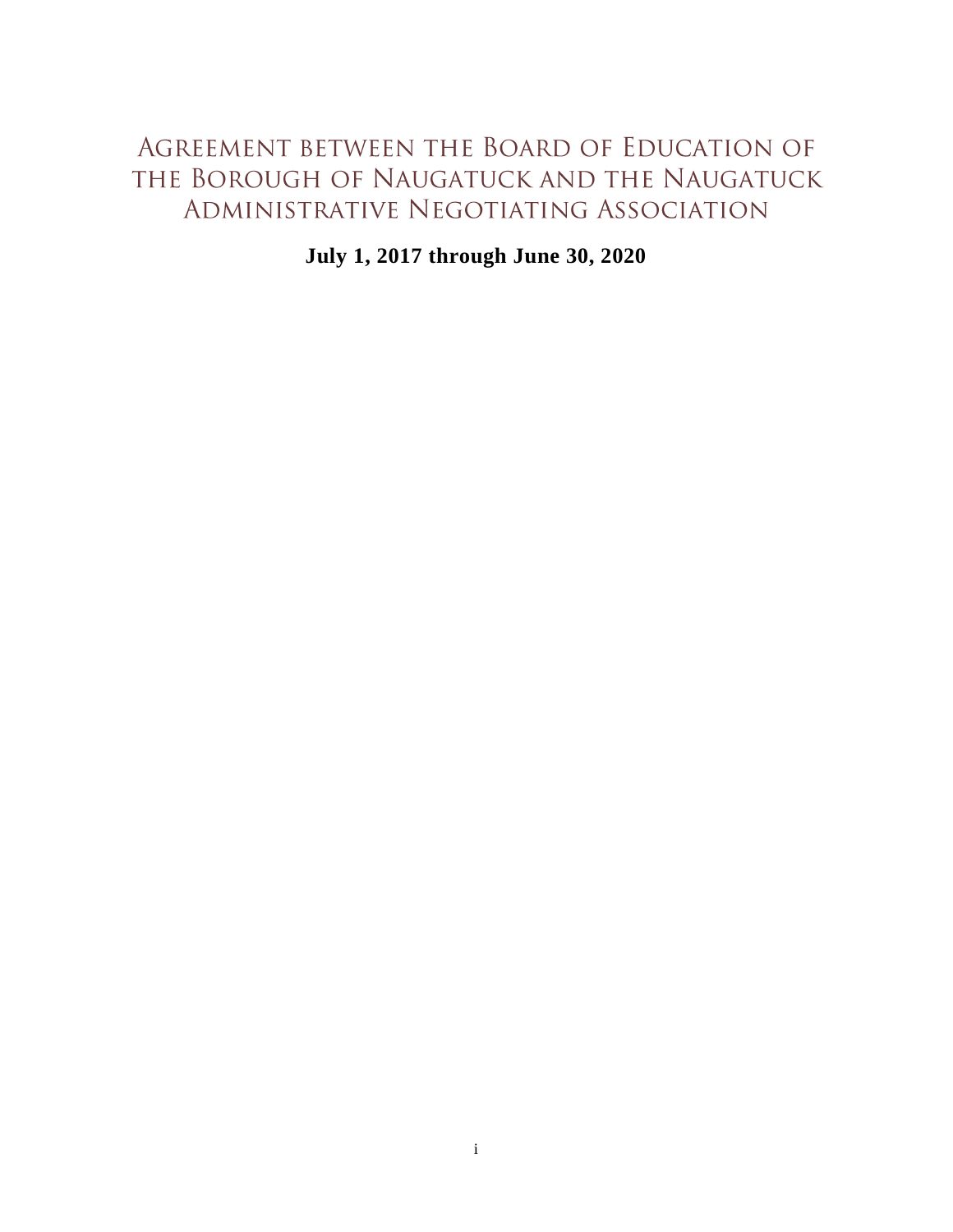# AGREEMENT BETWEEN THE BOARD OF EDUCATION OF THE BOROUGH OF NAUGATUCK AND THE NAUGATUCK ADMINISTRATIVE NEGOTIATING ASSOCIATION

**July 1, 2017 through June 30, 2020**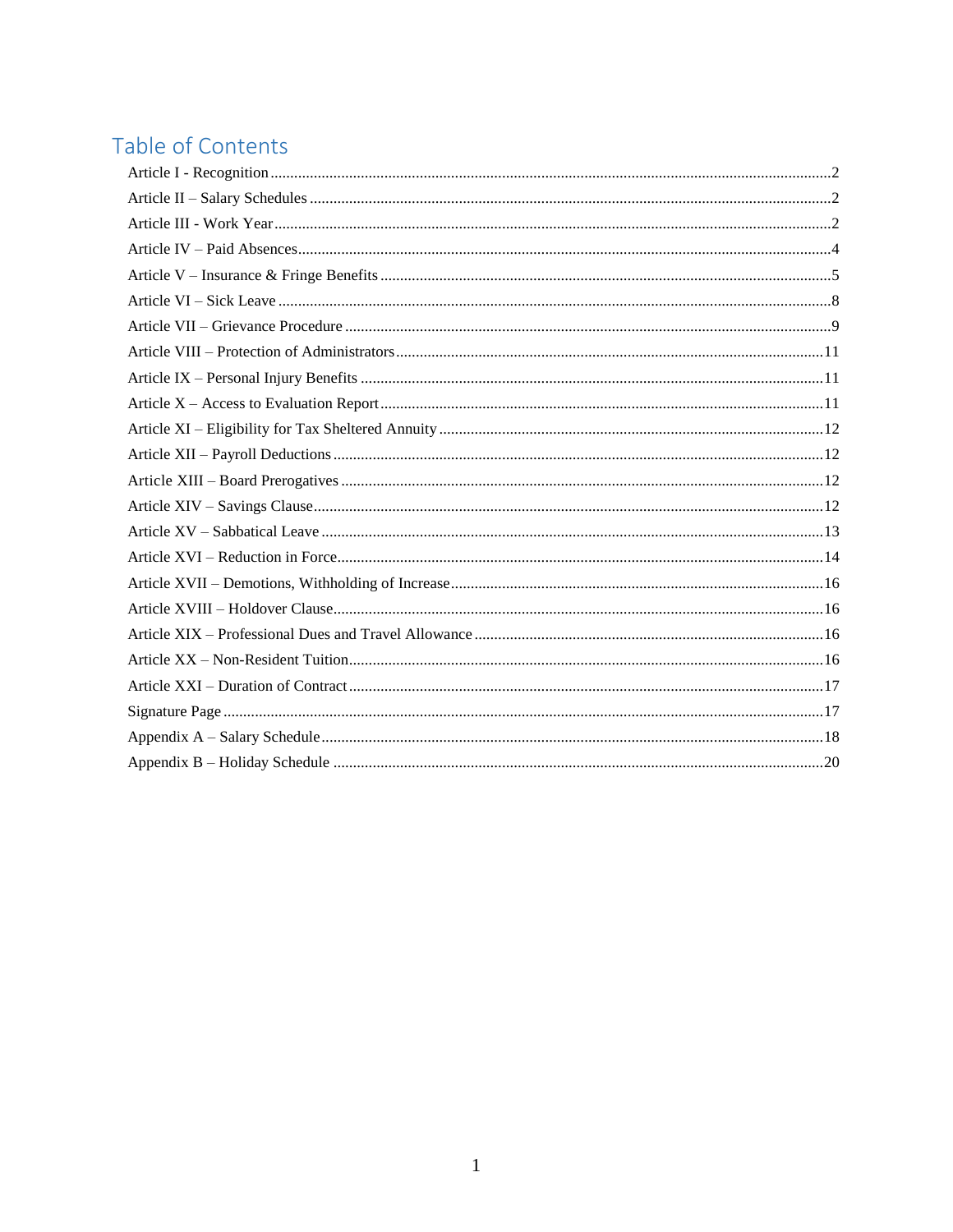# Table of Contents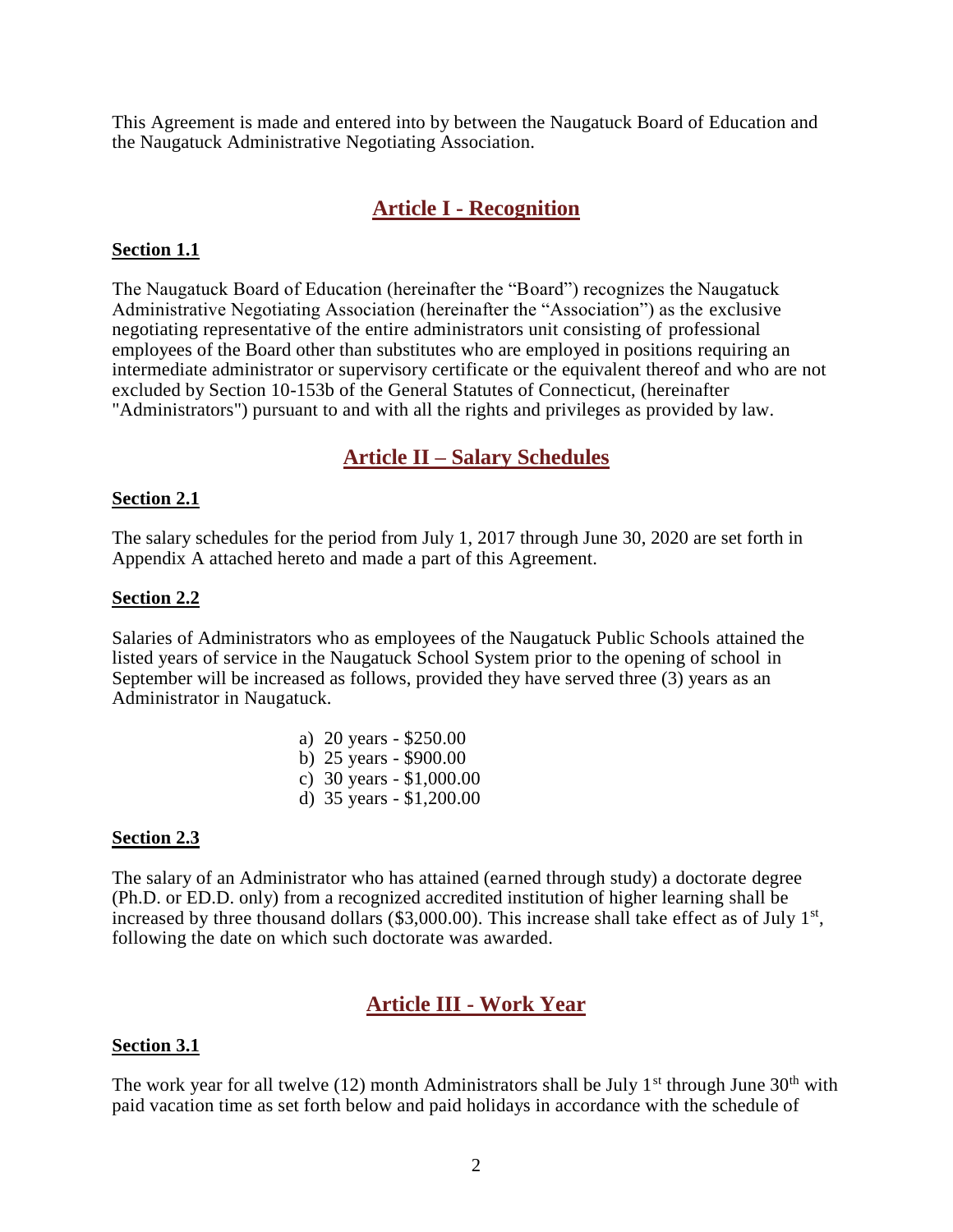This Agreement is made and entered into by between the Naugatuck Board of Education and the Naugatuck Administrative Negotiating Association.

## **Article I - Recognition**

#### <span id="page-2-0"></span>**Section 1.1**

The Naugatuck Board of Education (hereinafter the "Board") recognizes the Naugatuck Administrative Negotiating Association (hereinafter the "Association") as the exclusive negotiating representative of the entire administrators unit consisting of professional employees of the Board other than substitutes who are employed in positions requiring an intermediate administrator or supervisory certificate or the equivalent thereof and who are not excluded by Section 10-153b of the General Statutes of Connecticut, (hereinafter "Administrators") pursuant to and with all the rights and privileges as provided by law.

### **Article II – Salary Schedules**

#### <span id="page-2-1"></span>**Section 2.1**

The salary schedules for the period from July 1, 2017 through June 30, 2020 are set forth in Appendix A attached hereto and made a part of this Agreement.

#### **Section 2.2**

Salaries of Administrators who as employees of the Naugatuck Public Schools attained the listed years of service in the Naugatuck School System prior to the opening of school in September will be increased as follows, provided they have served three (3) years as an Administrator in Naugatuck.

| a) 20 years - \$250.00     |
|----------------------------|
| b) 25 years - \$900.00     |
| c) 30 years $-$ \$1,000.00 |
| d) 35 years - \$1,200.00   |

#### **Section 2.3**

The salary of an Administrator who has attained (earned through study) a doctorate degree (Ph.D. or ED.D. only) from a recognized accredited institution of higher learning shall be increased by three thousand dollars  $(\$3,000.00)$ . This increase shall take effect as of July 1<sup>st</sup>, following the date on which such doctorate was awarded.

## **Article III - Work Year**

#### <span id="page-2-2"></span>**Section 3.1**

The work year for all twelve (12) month Administrators shall be July 1<sup>st</sup> through June  $30<sup>th</sup>$  with paid vacation time as set forth below and paid holidays in accordance with the schedule of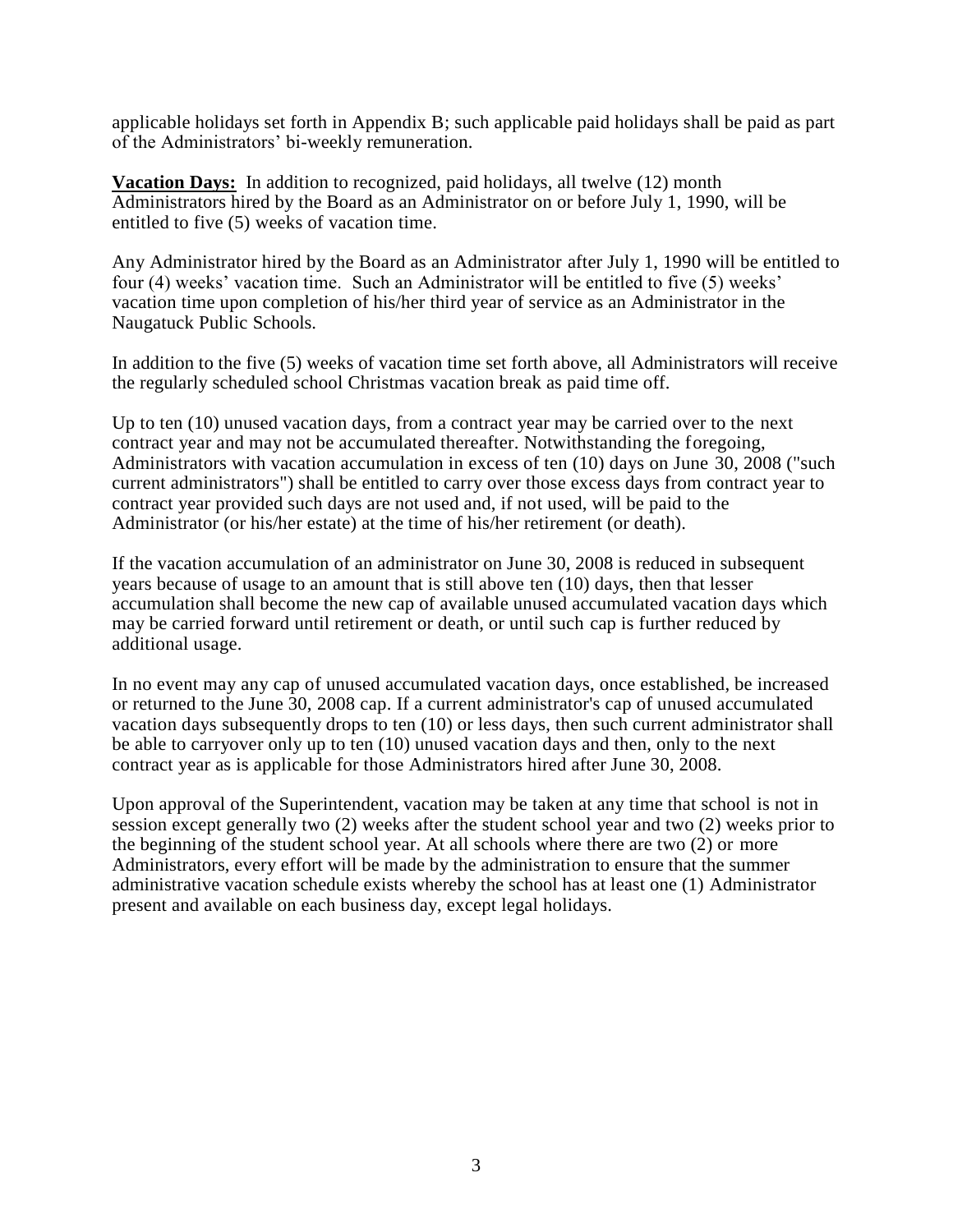applicable holidays set forth in Appendix B; such applicable paid holidays shall be paid as part of the Administrators' bi-weekly remuneration.

**Vacation Days:** In addition to recognized, paid holidays, all twelve (12) month Administrators hired by the Board as an Administrator on or before July 1, 1990, will be entitled to five (5) weeks of vacation time.

Any Administrator hired by the Board as an Administrator after July 1, 1990 will be entitled to four (4) weeks' vacation time. Such an Administrator will be entitled to five (5) weeks' vacation time upon completion of his/her third year of service as an Administrator in the Naugatuck Public Schools.

In addition to the five (5) weeks of vacation time set forth above, all Administrators will receive the regularly scheduled school Christmas vacation break as paid time off.

Up to ten (10) unused vacation days, from a contract year may be carried over to the next contract year and may not be accumulated thereafter. Notwithstanding the foregoing, Administrators with vacation accumulation in excess of ten (10) days on June 30, 2008 ("such current administrators") shall be entitled to carry over those excess days from contract year to contract year provided such days are not used and, if not used, will be paid to the Administrator (or his/her estate) at the time of his/her retirement (or death).

If the vacation accumulation of an administrator on June 30, 2008 is reduced in subsequent years because of usage to an amount that is still above ten (10) days, then that lesser accumulation shall become the new cap of available unused accumulated vacation days which may be carried forward until retirement or death, or until such cap is further reduced by additional usage.

In no event may any cap of unused accumulated vacation days, once established, be increased or returned to the June 30, 2008 cap. If a current administrator's cap of unused accumulated vacation days subsequently drops to ten (10) or less days, then such current administrator shall be able to carryover only up to ten (10) unused vacation days and then, only to the next contract year as is applicable for those Administrators hired after June 30, 2008.

Upon approval of the Superintendent, vacation may be taken at any time that school is not in session except generally two (2) weeks after the student school year and two (2) weeks prior to the beginning of the student school year. At all schools where there are two (2) or more Administrators, every effort will be made by the administration to ensure that the summer administrative vacation schedule exists whereby the school has at least one (1) Administrator present and available on each business day, except legal holidays.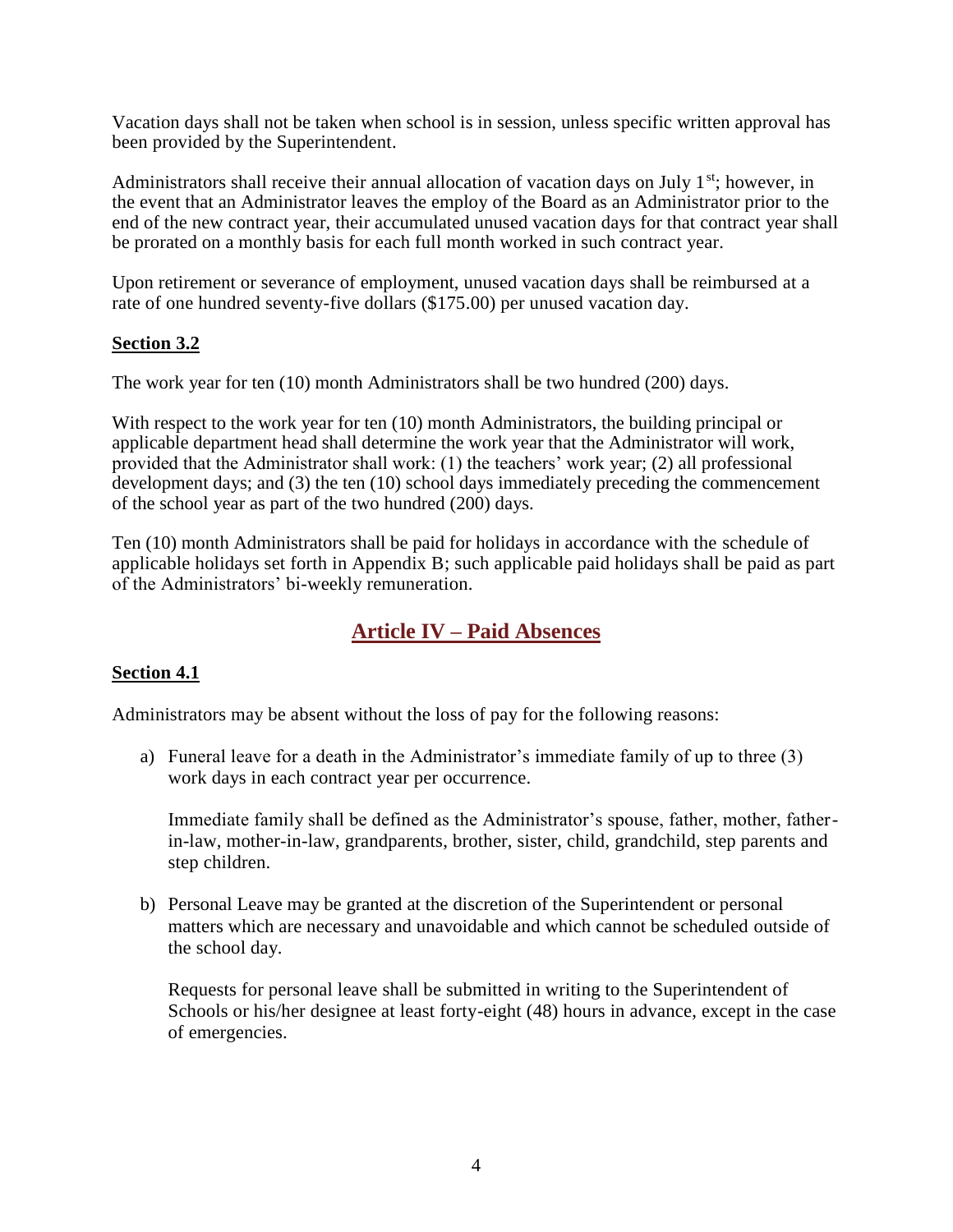Vacation days shall not be taken when school is in session, unless specific written approval has been provided by the Superintendent.

Administrators shall receive their annual allocation of vacation days on July  $1<sup>st</sup>$ ; however, in the event that an Administrator leaves the employ of the Board as an Administrator prior to the end of the new contract year, their accumulated unused vacation days for that contract year shall be prorated on a monthly basis for each full month worked in such contract year.

Upon retirement or severance of employment, unused vacation days shall be reimbursed at a rate of one hundred seventy-five dollars (\$175.00) per unused vacation day.

### **Section 3.2**

The work year for ten (10) month Administrators shall be two hundred (200) days.

With respect to the work year for ten (10) month Administrators, the building principal or applicable department head shall determine the work year that the Administrator will work, provided that the Administrator shall work: (1) the teachers' work year; (2) all professional development days; and (3) the ten (10) school days immediately preceding the commencement of the school year as part of the two hundred (200) days.

Ten (10) month Administrators shall be paid for holidays in accordance with the schedule of applicable holidays set forth in Appendix B; such applicable paid holidays shall be paid as part of the Administrators' bi-weekly remuneration.

## **Article IV – Paid Absences**

## <span id="page-4-0"></span>**Section 4.1**

Administrators may be absent without the loss of pay for the following reasons:

a) Funeral leave for a death in the Administrator's immediate family of up to three (3) work days in each contract year per occurrence.

Immediate family shall be defined as the Administrator's spouse, father, mother, fatherin-law, mother-in-law, grandparents, brother, sister, child, grandchild, step parents and step children.

b) Personal Leave may be granted at the discretion of the Superintendent or personal matters which are necessary and unavoidable and which cannot be scheduled outside of the school day.

Requests for personal leave shall be submitted in writing to the Superintendent of Schools or his/her designee at least forty-eight (48) hours in advance, except in the case of emergencies.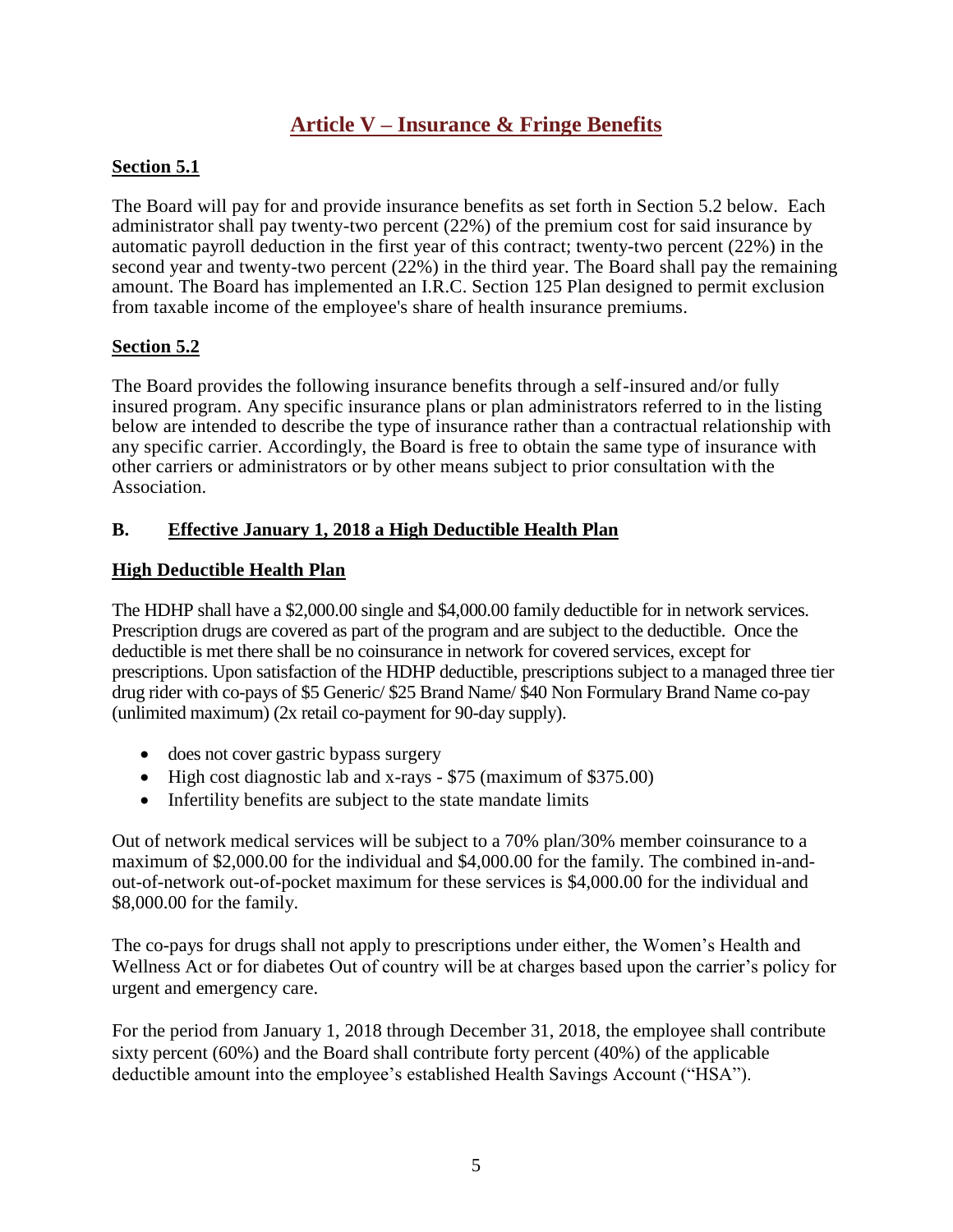## **Article V – Insurance & Fringe Benefits**

#### <span id="page-5-0"></span>**Section 5.1**

The Board will pay for and provide insurance benefits as set forth in Section 5.2 below. Each administrator shall pay twenty-two percent (22%) of the premium cost for said insurance by automatic payroll deduction in the first year of this contract; twenty-two percent (22%) in the second year and twenty-two percent (22%) in the third year. The Board shall pay the remaining amount. The Board has implemented an I.R.C. Section 125 Plan designed to permit exclusion from taxable income of the employee's share of health insurance premiums.

#### **Section 5.2**

The Board provides the following insurance benefits through a self-insured and/or fully insured program. Any specific insurance plans or plan administrators referred to in the listing below are intended to describe the type of insurance rather than a contractual relationship with any specific carrier. Accordingly, the Board is free to obtain the same type of insurance with other carriers or administrators or by other means subject to prior consultation with the Association.

### **B. Effective January 1, 2018 a High Deductible Health Plan**

#### **High Deductible Health Plan**

The HDHP shall have a \$2,000.00 single and \$4,000.00 family deductible for in network services. Prescription drugs are covered as part of the program and are subject to the deductible. Once the deductible is met there shall be no coinsurance in network for covered services, except for prescriptions. Upon satisfaction of the HDHP deductible, prescriptions subject to a managed three tier drug rider with co-pays of \$5 Generic/ \$25 Brand Name/ \$40 Non Formulary Brand Name co-pay (unlimited maximum) (2x retail co-payment for 90-day supply).

- does not cover gastric bypass surgery
- High cost diagnostic lab and x-rays \$75 (maximum of \$375.00)
- Infertility benefits are subject to the state mandate limits

Out of network medical services will be subject to a 70% plan/30% member coinsurance to a maximum of \$2,000.00 for the individual and \$4,000.00 for the family. The combined in-andout-of-network out-of-pocket maximum for these services is \$4,000.00 for the individual and \$8,000.00 for the family.

The co-pays for drugs shall not apply to prescriptions under either, the Women's Health and Wellness Act or for diabetes Out of country will be at charges based upon the carrier's policy for urgent and emergency care.

For the period from January 1, 2018 through December 31, 2018, the employee shall contribute sixty percent (60%) and the Board shall contribute forty percent (40%) of the applicable deductible amount into the employee's established Health Savings Account ("HSA").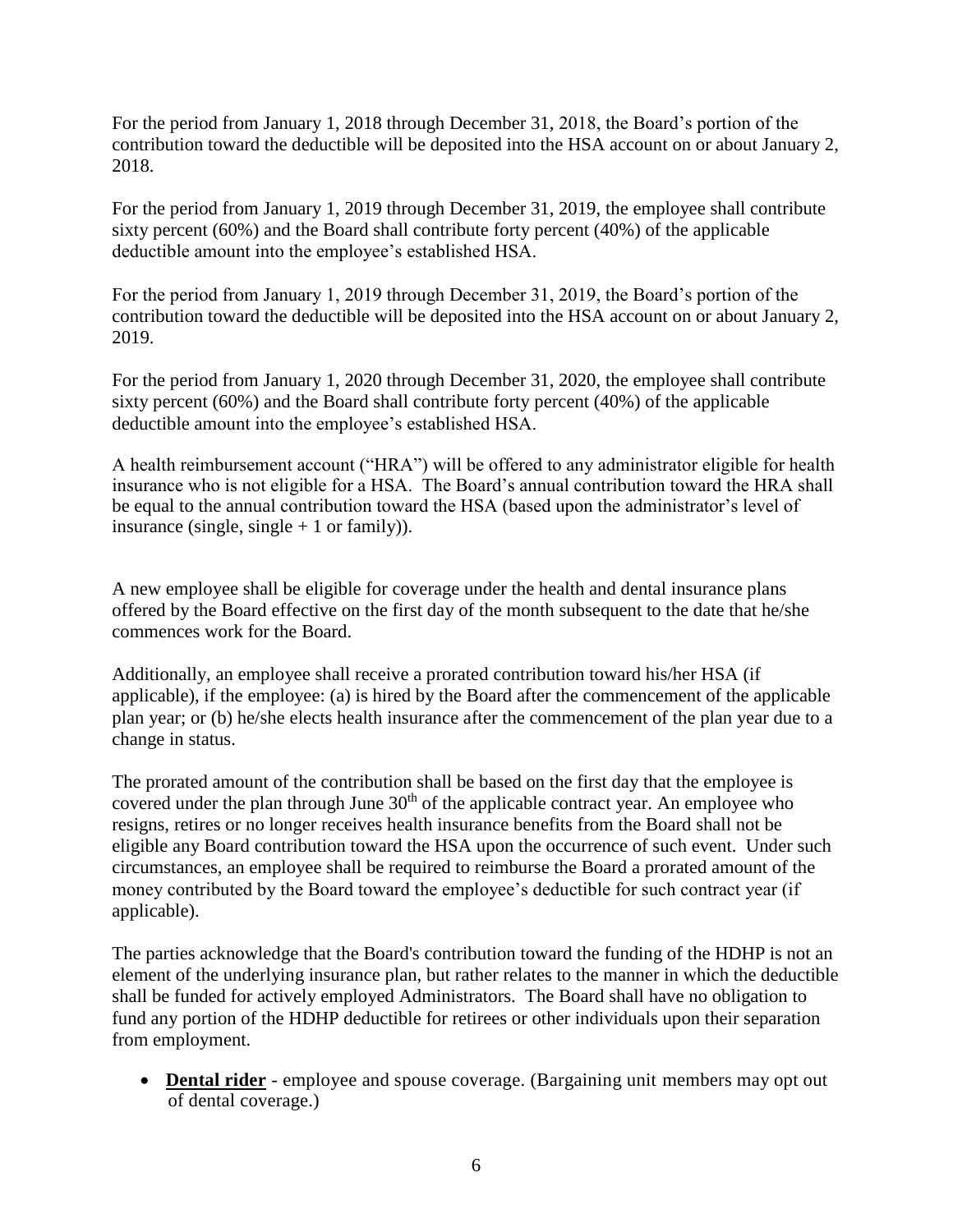For the period from January 1, 2018 through December 31, 2018, the Board's portion of the contribution toward the deductible will be deposited into the HSA account on or about January 2, 2018.

For the period from January 1, 2019 through December 31, 2019, the employee shall contribute sixty percent (60%) and the Board shall contribute forty percent (40%) of the applicable deductible amount into the employee's established HSA.

For the period from January 1, 2019 through December 31, 2019, the Board's portion of the contribution toward the deductible will be deposited into the HSA account on or about January 2, 2019.

For the period from January 1, 2020 through December 31, 2020, the employee shall contribute sixty percent (60%) and the Board shall contribute forty percent (40%) of the applicable deductible amount into the employee's established HSA.

A health reimbursement account ("HRA") will be offered to any administrator eligible for health insurance who is not eligible for a HSA. The Board's annual contribution toward the HRA shall be equal to the annual contribution toward the HSA (based upon the administrator's level of insurance (single, single  $+1$  or family)).

A new employee shall be eligible for coverage under the health and dental insurance plans offered by the Board effective on the first day of the month subsequent to the date that he/she commences work for the Board.

Additionally, an employee shall receive a prorated contribution toward his/her HSA (if applicable), if the employee: (a) is hired by the Board after the commencement of the applicable plan year; or (b) he/she elects health insurance after the commencement of the plan year due to a change in status.

The prorated amount of the contribution shall be based on the first day that the employee is covered under the plan through June  $30<sup>th</sup>$  of the applicable contract year. An employee who resigns, retires or no longer receives health insurance benefits from the Board shall not be eligible any Board contribution toward the HSA upon the occurrence of such event. Under such circumstances, an employee shall be required to reimburse the Board a prorated amount of the money contributed by the Board toward the employee's deductible for such contract year (if applicable).

The parties acknowledge that the Board's contribution toward the funding of the HDHP is not an element of the underlying insurance plan, but rather relates to the manner in which the deductible shall be funded for actively employed Administrators. The Board shall have no obligation to fund any portion of the HDHP deductible for retirees or other individuals upon their separation from employment.

• **Dental rider** - employee and spouse coverage. (Bargaining unit members may opt out of dental coverage.)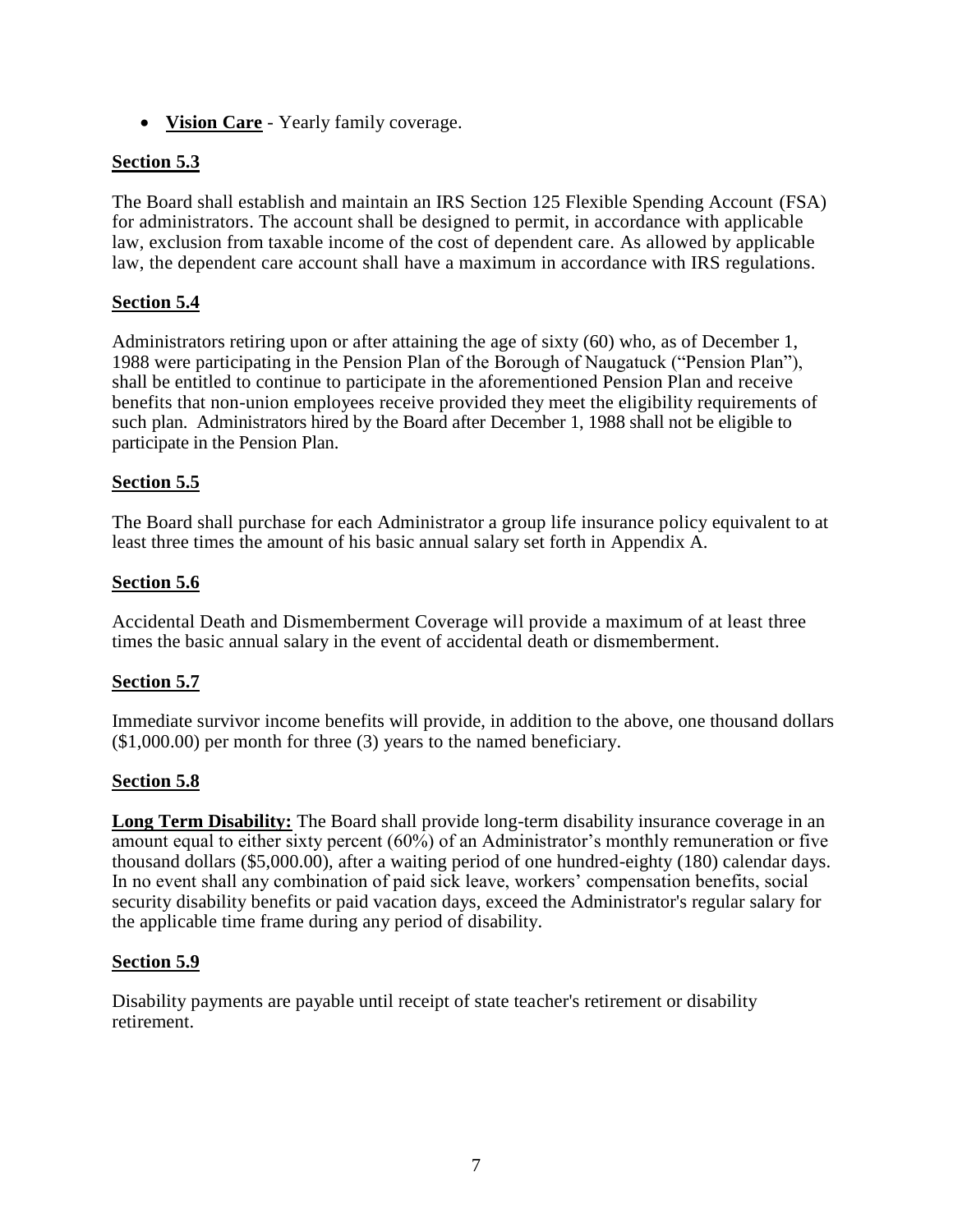**Vision Care** - Yearly family coverage.

#### **Section 5.3**

The Board shall establish and maintain an IRS Section 125 Flexible Spending Account (FSA) for administrators. The account shall be designed to permit, in accordance with applicable law, exclusion from taxable income of the cost of dependent care. As allowed by applicable law, the dependent care account shall have a maximum in accordance with IRS regulations.

#### **Section 5.4**

Administrators retiring upon or after attaining the age of sixty (60) who, as of December 1, 1988 were participating in the Pension Plan of the Borough of Naugatuck ("Pension Plan"), shall be entitled to continue to participate in the aforementioned Pension Plan and receive benefits that non-union employees receive provided they meet the eligibility requirements of such plan. Administrators hired by the Board after December 1, 1988 shall not be eligible to participate in the Pension Plan.

#### **Section 5.5**

The Board shall purchase for each Administrator a group life insurance policy equivalent to at least three times the amount of his basic annual salary set forth in Appendix A.

#### **Section 5.6**

Accidental Death and Dismemberment Coverage will provide a maximum of at least three times the basic annual salary in the event of accidental death or dismemberment.

#### **Section 5.7**

Immediate survivor income benefits will provide, in addition to the above, one thousand dollars (\$1,000.00) per month for three (3) years to the named beneficiary.

#### **Section 5.8**

**Long Term Disability:** The Board shall provide long-term disability insurance coverage in an amount equal to either sixty percent (60%) of an Administrator's monthly remuneration or five thousand dollars (\$5,000.00), after a waiting period of one hundred-eighty (180) calendar days. In no event shall any combination of paid sick leave, workers' compensation benefits, social security disability benefits or paid vacation days, exceed the Administrator's regular salary for the applicable time frame during any period of disability.

#### **Section 5.9**

Disability payments are payable until receipt of state teacher's retirement or disability retirement.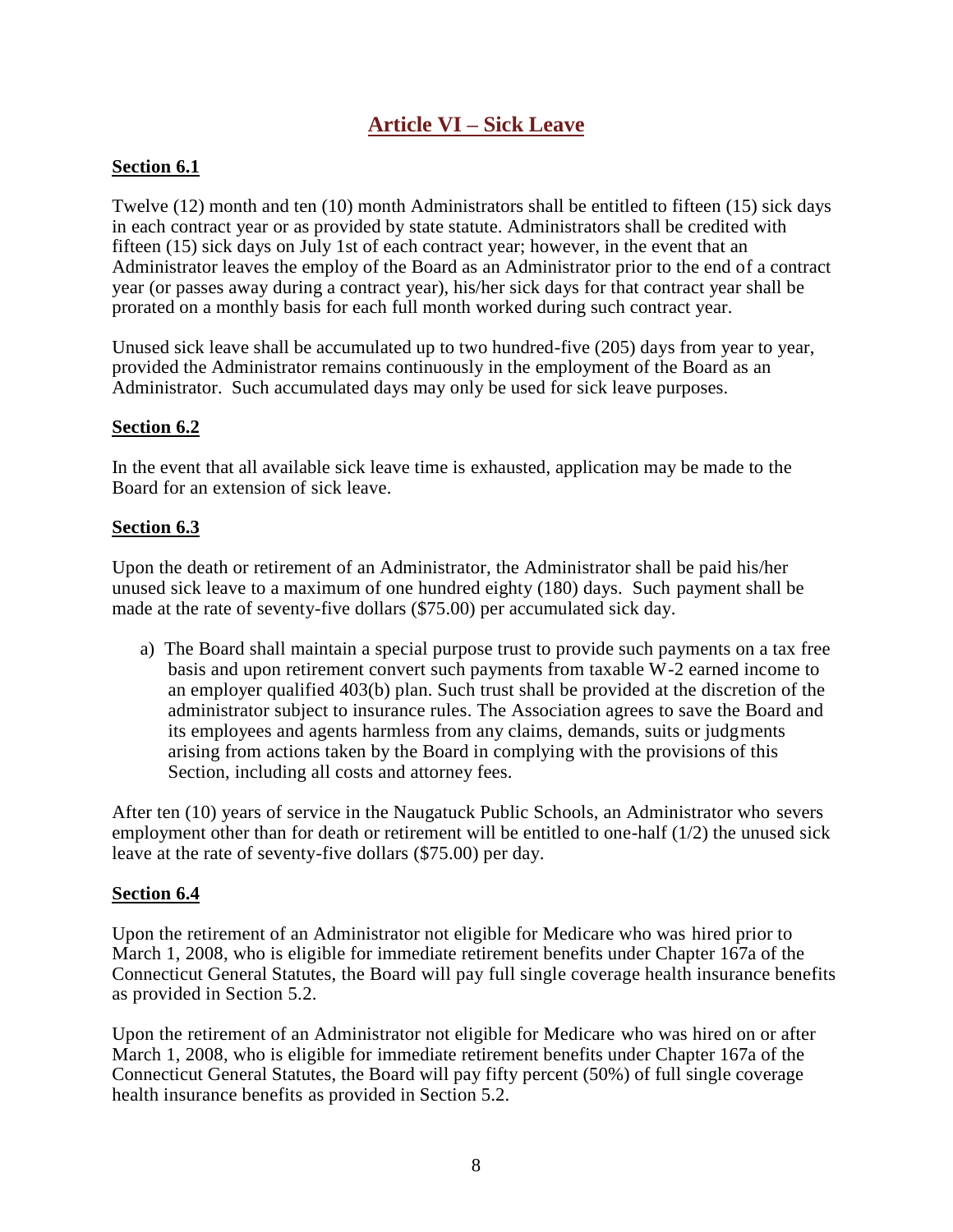## **Article VI – Sick Leave**

#### <span id="page-8-0"></span>**Section 6.1**

Twelve (12) month and ten (10) month Administrators shall be entitled to fifteen (15) sick days in each contract year or as provided by state statute. Administrators shall be credited with fifteen (15) sick days on July 1st of each contract year; however, in the event that an Administrator leaves the employ of the Board as an Administrator prior to the end of a contract year (or passes away during a contract year), his/her sick days for that contract year shall be prorated on a monthly basis for each full month worked during such contract year.

Unused sick leave shall be accumulated up to two hundred-five (205) days from year to year, provided the Administrator remains continuously in the employment of the Board as an Administrator. Such accumulated days may only be used for sick leave purposes.

#### **Section 6.2**

In the event that all available sick leave time is exhausted, application may be made to the Board for an extension of sick leave.

#### **Section 6.3**

Upon the death or retirement of an Administrator, the Administrator shall be paid his/her unused sick leave to a maximum of one hundred eighty (180) days. Such payment shall be made at the rate of seventy-five dollars (\$75.00) per accumulated sick day.

a) The Board shall maintain a special purpose trust to provide such payments on a tax free basis and upon retirement convert such payments from taxable W-2 earned income to an employer qualified 403(b) plan. Such trust shall be provided at the discretion of the administrator subject to insurance rules. The Association agrees to save the Board and its employees and agents harmless from any claims, demands, suits or judgments arising from actions taken by the Board in complying with the provisions of this Section, including all costs and attorney fees.

After ten (10) years of service in the Naugatuck Public Schools, an Administrator who severs employment other than for death or retirement will be entitled to one-half (1/2) the unused sick leave at the rate of seventy-five dollars (\$75.00) per day.

#### **Section 6.4**

Upon the retirement of an Administrator not eligible for Medicare who was hired prior to March 1, 2008, who is eligible for immediate retirement benefits under Chapter 167a of the Connecticut General Statutes, the Board will pay full single coverage health insurance benefits as provided in Section 5.2.

Upon the retirement of an Administrator not eligible for Medicare who was hired on or after March 1, 2008, who is eligible for immediate retirement benefits under Chapter 167a of the Connecticut General Statutes, the Board will pay fifty percent (50%) of full single coverage health insurance benefits as provided in Section 5.2.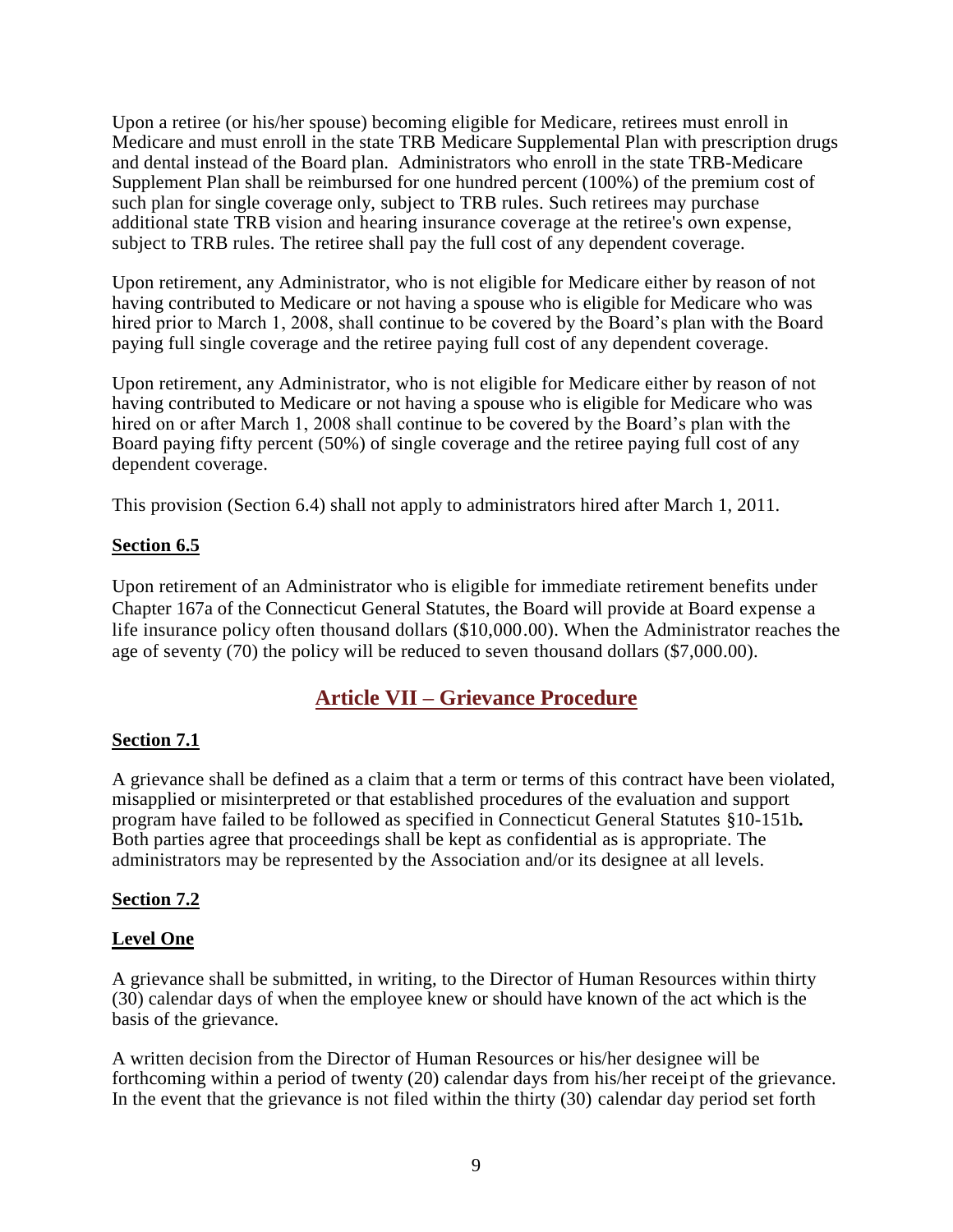Upon a retiree (or his/her spouse) becoming eligible for Medicare, retirees must enroll in Medicare and must enroll in the state TRB Medicare Supplemental Plan with prescription drugs and dental instead of the Board plan. Administrators who enroll in the state TRB-Medicare Supplement Plan shall be reimbursed for one hundred percent (100%) of the premium cost of such plan for single coverage only, subject to TRB rules. Such retirees may purchase additional state TRB vision and hearing insurance coverage at the retiree's own expense, subject to TRB rules. The retiree shall pay the full cost of any dependent coverage.

Upon retirement, any Administrator, who is not eligible for Medicare either by reason of not having contributed to Medicare or not having a spouse who is eligible for Medicare who was hired prior to March 1, 2008, shall continue to be covered by the Board's plan with the Board paying full single coverage and the retiree paying full cost of any dependent coverage.

Upon retirement, any Administrator, who is not eligible for Medicare either by reason of not having contributed to Medicare or not having a spouse who is eligible for Medicare who was hired on or after March 1, 2008 shall continue to be covered by the Board's plan with the Board paying fifty percent (50%) of single coverage and the retiree paying full cost of any dependent coverage.

This provision (Section 6.4) shall not apply to administrators hired after March 1, 2011.

#### **Section 6.5**

Upon retirement of an Administrator who is eligible for immediate retirement benefits under Chapter 167a of the Connecticut General Statutes, the Board will provide at Board expense a life insurance policy often thousand dollars (\$10,000.00). When the Administrator reaches the age of seventy (70) the policy will be reduced to seven thousand dollars (\$7,000.00).

## **Article VII – Grievance Procedure**

#### <span id="page-9-0"></span>**Section 7.1**

A grievance shall be defined as a claim that a term or terms of this contract have been violated, misapplied or misinterpreted or that established procedures of the evaluation and support program have failed to be followed as specified in Connecticut General Statutes §10-151b*.* Both parties agree that proceedings shall be kept as confidential as is appropriate. The administrators may be represented by the Association and/or its designee at all levels.

#### **Section 7.2**

#### **Level One**

A grievance shall be submitted, in writing, to the Director of Human Resources within thirty (30) calendar days of when the employee knew or should have known of the act which is the basis of the grievance.

A written decision from the Director of Human Resources or his/her designee will be forthcoming within a period of twenty (20) calendar days from his/her receipt of the grievance. In the event that the grievance is not filed within the thirty (30) calendar day period set forth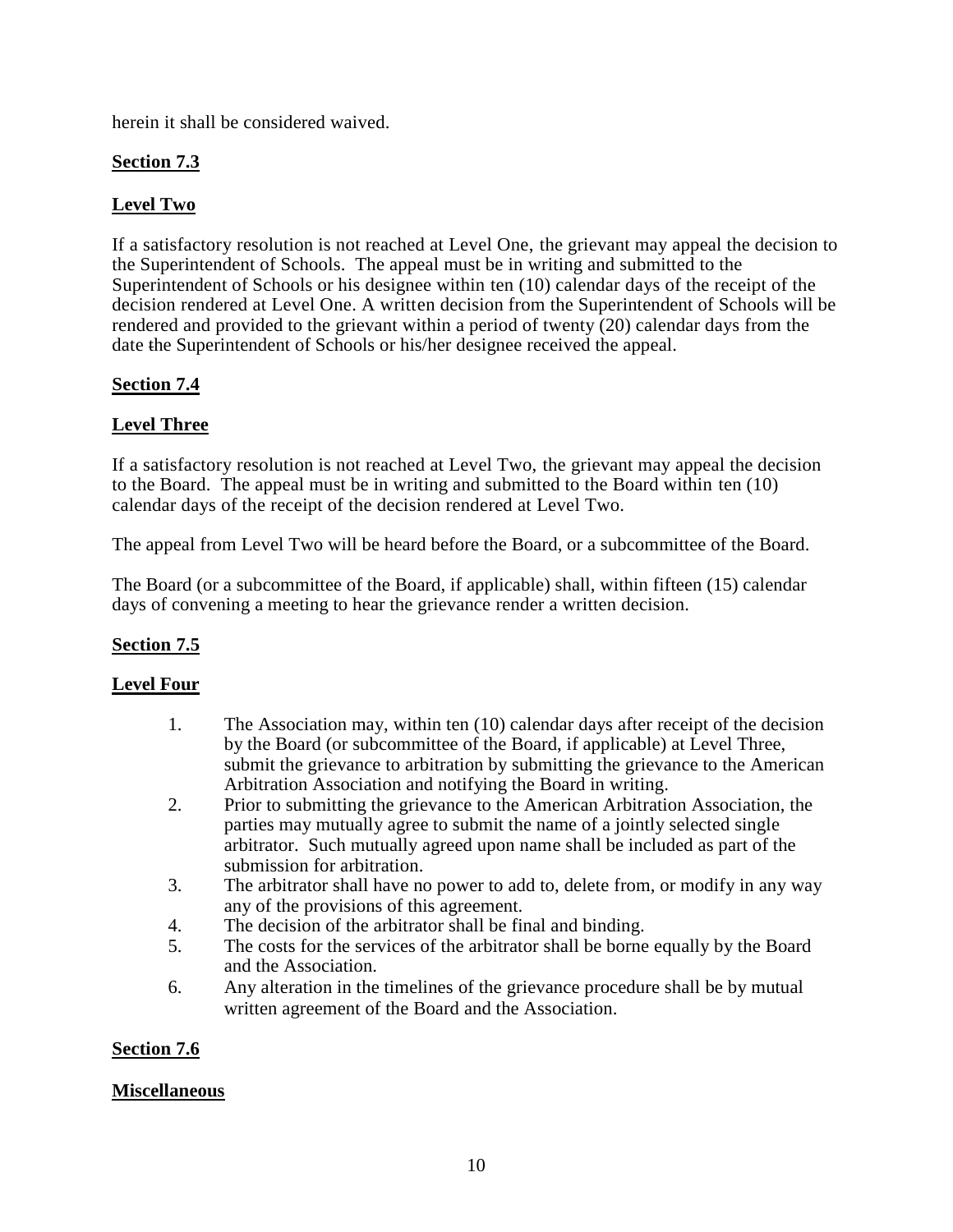herein it shall be considered waived.

## **Section 7.3**

## **Level Two**

If a satisfactory resolution is not reached at Level One, the grievant may appeal the decision to the Superintendent of Schools. The appeal must be in writing and submitted to the Superintendent of Schools or his designee within ten (10) calendar days of the receipt of the decision rendered at Level One. A written decision from the Superintendent of Schools will be rendered and provided to the grievant within a period of twenty (20) calendar days from the date the Superintendent of Schools or his/her designee received the appeal.

## **Section 7.4**

## **Level Three**

If a satisfactory resolution is not reached at Level Two, the grievant may appeal the decision to the Board. The appeal must be in writing and submitted to the Board within ten (10) calendar days of the receipt of the decision rendered at Level Two.

The appeal from Level Two will be heard before the Board, or a subcommittee of the Board.

The Board (or a subcommittee of the Board, if applicable) shall, within fifteen (15) calendar days of convening a meeting to hear the grievance render a written decision.

## **Section 7.5**

## **Level Four**

- 1. The Association may, within ten (10) calendar days after receipt of the decision by the Board (or subcommittee of the Board, if applicable) at Level Three, submit the grievance to arbitration by submitting the grievance to the American Arbitration Association and notifying the Board in writing.
- 2. Prior to submitting the grievance to the American Arbitration Association, the parties may mutually agree to submit the name of a jointly selected single arbitrator. Such mutually agreed upon name shall be included as part of the submission for arbitration.
- 3. The arbitrator shall have no power to add to, delete from, or modify in any way any of the provisions of this agreement.
- 4. The decision of the arbitrator shall be final and binding.
- 5. The costs for the services of the arbitrator shall be borne equally by the Board and the Association.
- 6. Any alteration in the timelines of the grievance procedure shall be by mutual written agreement of the Board and the Association.

## **Section 7.6**

## **Miscellaneous**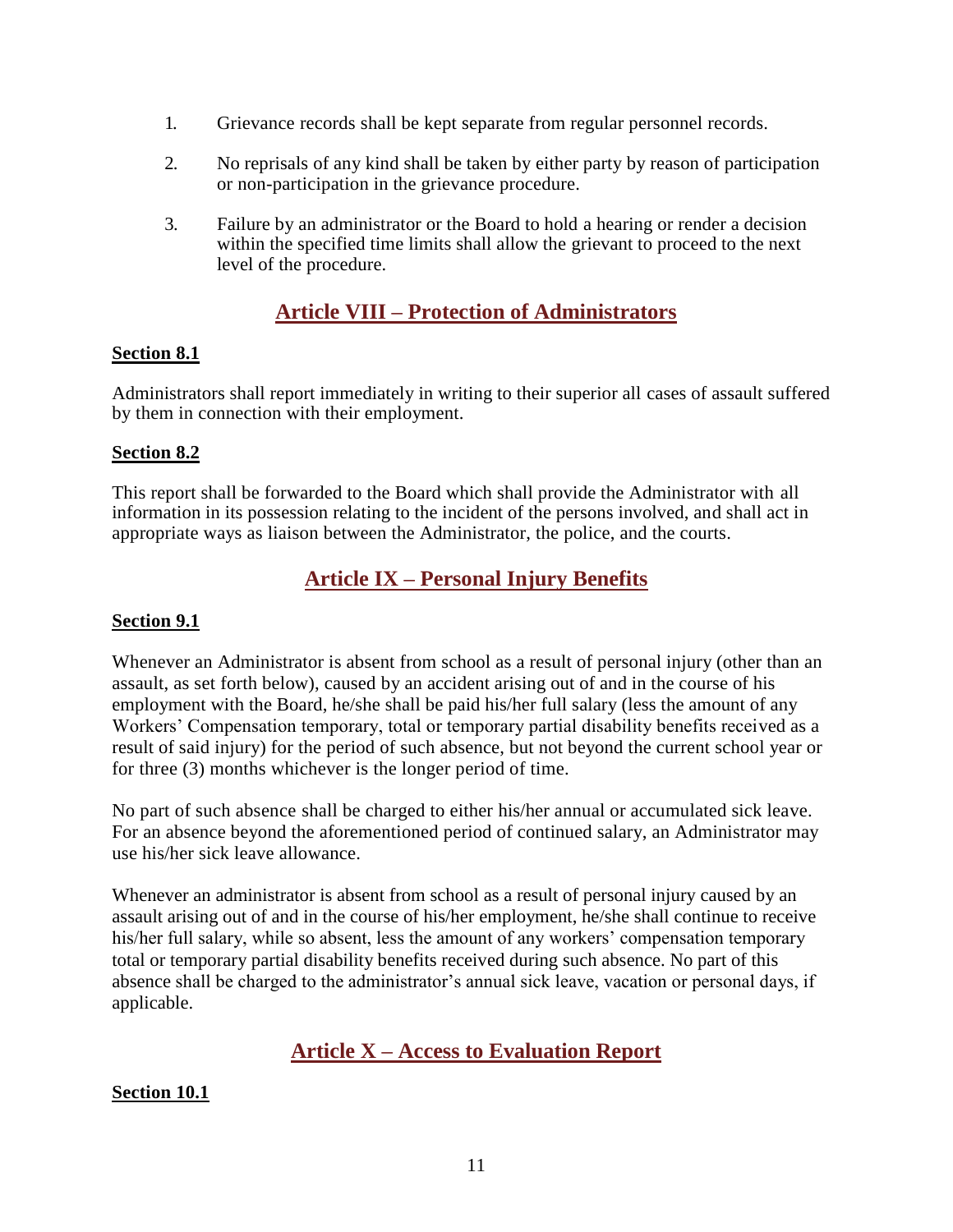- 1. Grievance records shall be kept separate from regular personnel records.
- 2. No reprisals of any kind shall be taken by either party by reason of participation or non-participation in the grievance procedure.
- 3. Failure by an administrator or the Board to hold a hearing or render a decision within the specified time limits shall allow the grievant to proceed to the next level of the procedure.

## **Article VIII – Protection of Administrators**

#### <span id="page-11-0"></span>**Section 8.1**

Administrators shall report immediately in writing to their superior all cases of assault suffered by them in connection with their employment.

#### **Section 8.2**

This report shall be forwarded to the Board which shall provide the Administrator with all information in its possession relating to the incident of the persons involved, and shall act in appropriate ways as liaison between the Administrator, the police, and the courts.

## **Article IX – Personal Injury Benefits**

#### <span id="page-11-1"></span>**Section 9.1**

Whenever an Administrator is absent from school as a result of personal injury (other than an assault, as set forth below), caused by an accident arising out of and in the course of his employment with the Board, he/she shall be paid his/her full salary (less the amount of any Workers' Compensation temporary, total or temporary partial disability benefits received as a result of said injury) for the period of such absence, but not beyond the current school year or for three (3) months whichever is the longer period of time.

No part of such absence shall be charged to either his/her annual or accumulated sick leave. For an absence beyond the aforementioned period of continued salary, an Administrator may use his/her sick leave allowance.

Whenever an administrator is absent from school as a result of personal injury caused by an assault arising out of and in the course of his/her employment, he/she shall continue to receive his/her full salary, while so absent, less the amount of any workers' compensation temporary total or temporary partial disability benefits received during such absence. No part of this absence shall be charged to the administrator's annual sick leave, vacation or personal days, if applicable.

## **Article X – Access to Evaluation Report**

#### <span id="page-11-2"></span>**Section 10.1**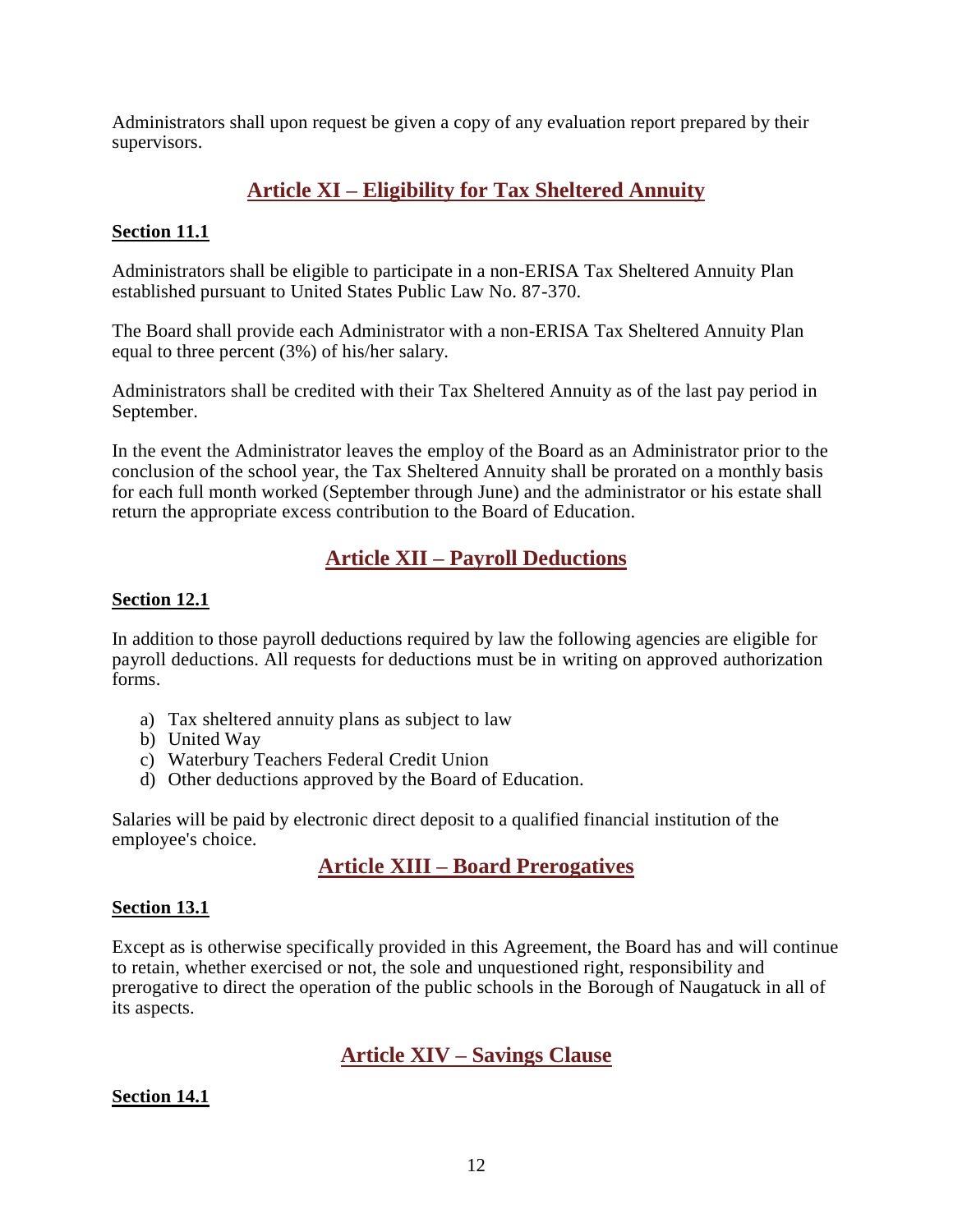Administrators shall upon request be given a copy of any evaluation report prepared by their supervisors.

## **Article XI – Eligibility for Tax Sheltered Annuity**

## <span id="page-12-0"></span>**Section 11.1**

Administrators shall be eligible to participate in a non-ERISA Tax Sheltered Annuity Plan established pursuant to United States Public Law No. 87-370.

The Board shall provide each Administrator with a non-ERISA Tax Sheltered Annuity Plan equal to three percent (3%) of his/her salary.

Administrators shall be credited with their Tax Sheltered Annuity as of the last pay period in September.

In the event the Administrator leaves the employ of the Board as an Administrator prior to the conclusion of the school year, the Tax Sheltered Annuity shall be prorated on a monthly basis for each full month worked (September through June) and the administrator or his estate shall return the appropriate excess contribution to the Board of Education.

## **Article XII – Payroll Deductions**

### <span id="page-12-1"></span>**Section 12.1**

In addition to those payroll deductions required by law the following agencies are eligible for payroll deductions. All requests for deductions must be in writing on approved authorization forms.

- a) Tax sheltered annuity plans as subject to law
- b) United Way
- c) Waterbury Teachers Federal Credit Union
- d) Other deductions approved by the Board of Education.

<span id="page-12-2"></span>Salaries will be paid by electronic direct deposit to a qualified financial institution of the employee's choice.

## **Article XIII – Board Prerogatives**

#### **Section 13.1**

Except as is otherwise specifically provided in this Agreement, the Board has and will continue to retain, whether exercised or not, the sole and unquestioned right, responsibility and prerogative to direct the operation of the public schools in the Borough of Naugatuck in all of its aspects.

## **Article XIV – Savings Clause**

#### <span id="page-12-3"></span>**Section 14.1**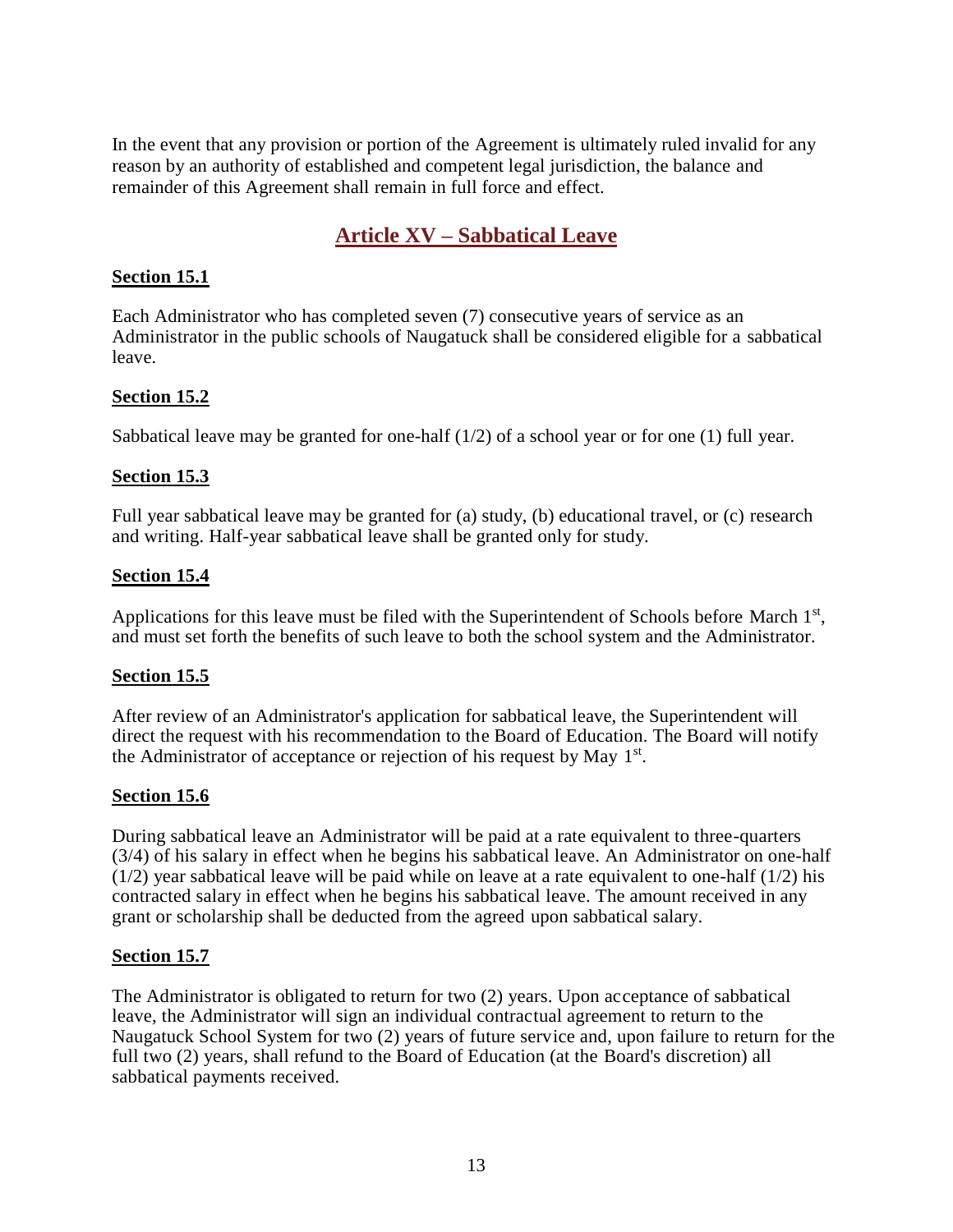In the event that any provision or portion of the Agreement is ultimately ruled invalid for any reason by an authority of established and competent legal jurisdiction, the balance and remainder of this Agreement shall remain in full force and effect.

## **Article XV – Sabbatical Leave**

#### <span id="page-13-0"></span>**Section 15.1**

Each Administrator who has completed seven (7) consecutive years of service as an Administrator in the public schools of Naugatuck shall be considered eligible for a sabbatical leave.

#### **Section 15.2**

Sabbatical leave may be granted for one-half  $(1/2)$  of a school year or for one  $(1)$  full year.

#### **Section 15.3**

Full year sabbatical leave may be granted for (a) study, (b) educational travel, or (c) research and writing. Half-year sabbatical leave shall be granted only for study.

#### **Section 15.4**

Applications for this leave must be filed with the Superintendent of Schools before March 1<sup>st</sup>, and must set forth the benefits of such leave to both the school system and the Administrator.

#### **Section 15.5**

After review of an Administrator's application for sabbatical leave, the Superintendent will direct the request with his recommendation to the Board of Education. The Board will notify the Administrator of acceptance or rejection of his request by May 1<sup>st</sup>.

#### **Section 15.6**

During sabbatical leave an Administrator will be paid at a rate equivalent to three-quarters (3/4) of his salary in effect when he begins his sabbatical leave. An Administrator on one-half  $(1/2)$  year sabbatical leave will be paid while on leave at a rate equivalent to one-half  $(1/2)$  his contracted salary in effect when he begins his sabbatical leave. The amount received in any grant or scholarship shall be deducted from the agreed upon sabbatical salary.

#### **Section 15.7**

The Administrator is obligated to return for two (2) years. Upon acceptance of sabbatical leave, the Administrator will sign an individual contractual agreement to return to the Naugatuck School System for two (2) years of future service and, upon failure to return for the full two (2) years, shall refund to the Board of Education (at the Board's discretion) all sabbatical payments received.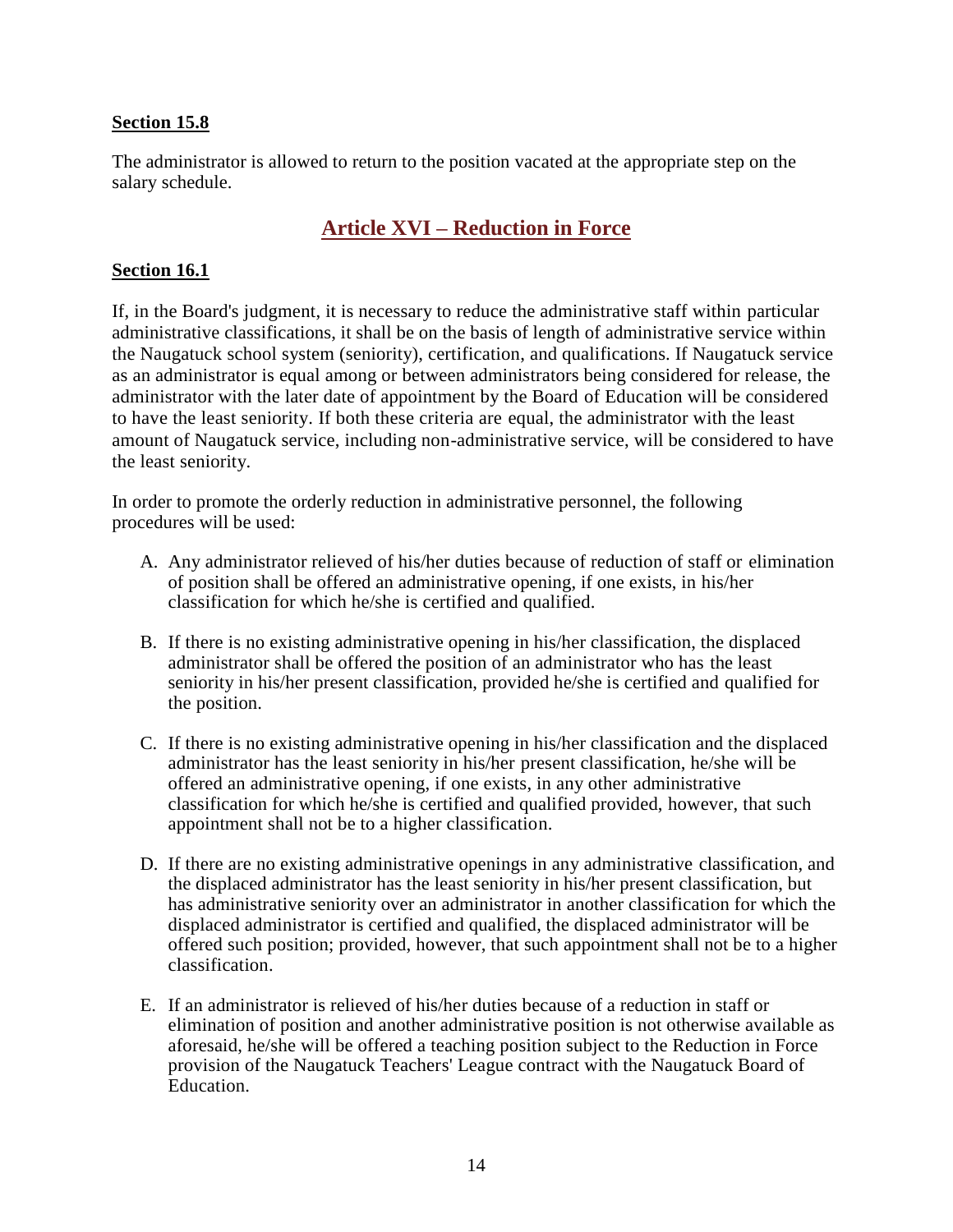#### **Section 15.8**

The administrator is allowed to return to the position vacated at the appropriate step on the salary schedule.

## **Article XVI – Reduction in Force**

#### <span id="page-14-0"></span>**Section 16.1**

If, in the Board's judgment, it is necessary to reduce the administrative staff within particular administrative classifications, it shall be on the basis of length of administrative service within the Naugatuck school system (seniority), certification, and qualifications. If Naugatuck service as an administrator is equal among or between administrators being considered for release, the administrator with the later date of appointment by the Board of Education will be considered to have the least seniority. If both these criteria are equal, the administrator with the least amount of Naugatuck service, including non-administrative service, will be considered to have the least seniority.

In order to promote the orderly reduction in administrative personnel, the following procedures will be used:

- A. Any administrator relieved of his/her duties because of reduction of staff or elimination of position shall be offered an administrative opening, if one exists, in his/her classification for which he/she is certified and qualified.
- B. If there is no existing administrative opening in his/her classification, the displaced administrator shall be offered the position of an administrator who has the least seniority in his/her present classification, provided he/she is certified and qualified for the position.
- C. If there is no existing administrative opening in his/her classification and the displaced administrator has the least seniority in his/her present classification, he/she will be offered an administrative opening, if one exists, in any other administrative classification for which he/she is certified and qualified provided, however, that such appointment shall not be to a higher classification.
- D. If there are no existing administrative openings in any administrative classification, and the displaced administrator has the least seniority in his/her present classification, but has administrative seniority over an administrator in another classification for which the displaced administrator is certified and qualified, the displaced administrator will be offered such position; provided, however, that such appointment shall not be to a higher classification.
- E. If an administrator is relieved of his/her duties because of a reduction in staff or elimination of position and another administrative position is not otherwise available as aforesaid, he/she will be offered a teaching position subject to the Reduction in Force provision of the Naugatuck Teachers' League contract with the Naugatuck Board of Education.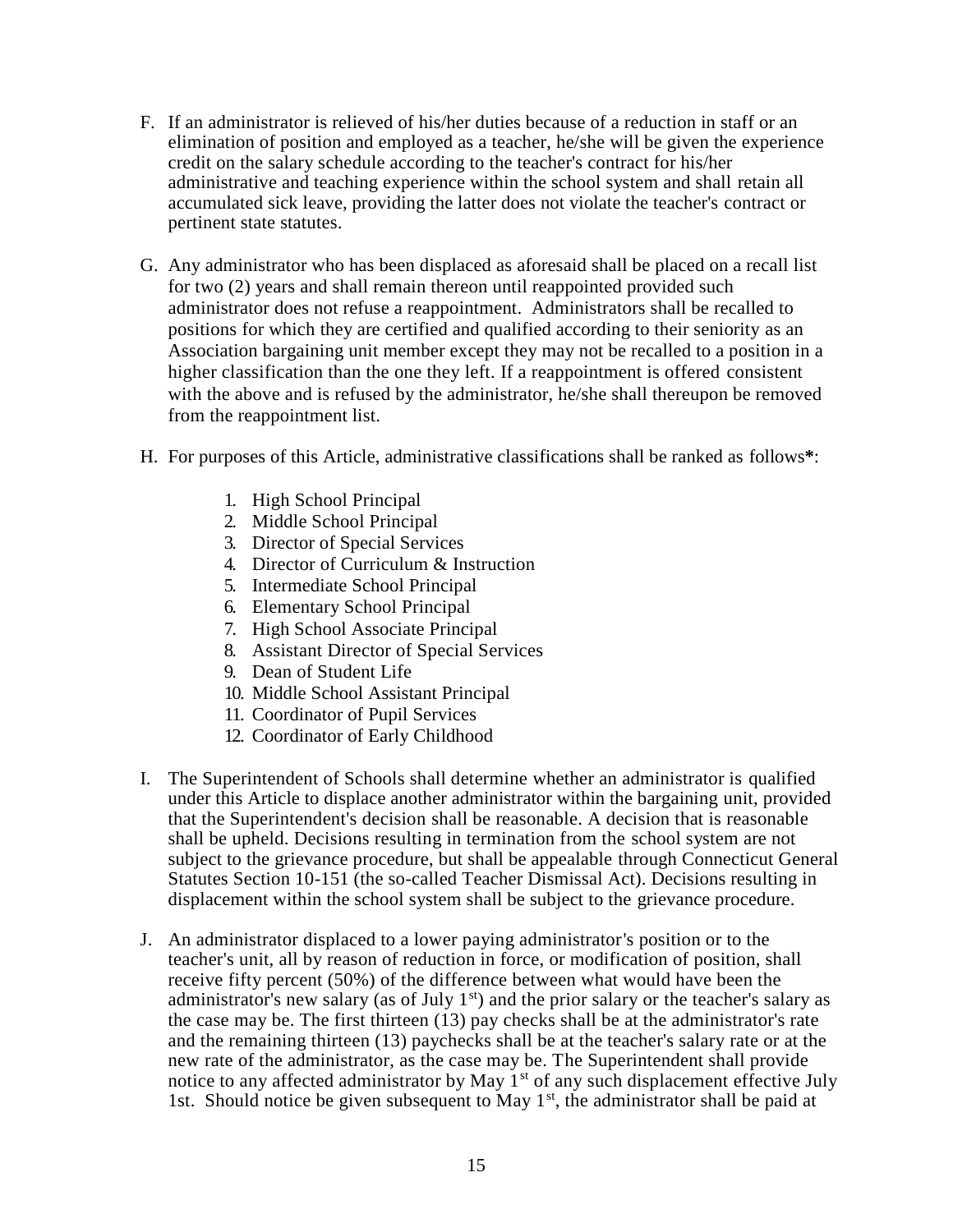- F. If an administrator is relieved of his/her duties because of a reduction in staff or an elimination of position and employed as a teacher, he/she will be given the experience credit on the salary schedule according to the teacher's contract for his/her administrative and teaching experience within the school system and shall retain all accumulated sick leave, providing the latter does not violate the teacher's contract or pertinent state statutes.
- G. Any administrator who has been displaced as aforesaid shall be placed on a recall list for two (2) years and shall remain thereon until reappointed provided such administrator does not refuse a reappointment. Administrators shall be recalled to positions for which they are certified and qualified according to their seniority as an Association bargaining unit member except they may not be recalled to a position in a higher classification than the one they left. If a reappointment is offered consistent with the above and is refused by the administrator, he/she shall thereupon be removed from the reappointment list.
- H. For purposes of this Article, administrative classifications shall be ranked as follows**\***:
	- 1. High School Principal
	- 2. Middle School Principal
	- 3. Director of Special Services
	- 4. Director of Curriculum & Instruction
	- 5. Intermediate School Principal
	- 6. Elementary School Principal
	- 7. High School Associate Principal
	- 8. Assistant Director of Special Services
	- 9. Dean of Student Life
	- 10. Middle School Assistant Principal
	- 11. Coordinator of Pupil Services
	- 12. Coordinator of Early Childhood
- I. The Superintendent of Schools shall determine whether an administrator is qualified under this Article to displace another administrator within the bargaining unit, provided that the Superintendent's decision shall be reasonable. A decision that is reasonable shall be upheld. Decisions resulting in termination from the school system are not subject to the grievance procedure, but shall be appealable through Connecticut General Statutes Section 10-151 (the so-called Teacher Dismissal Act). Decisions resulting in displacement within the school system shall be subject to the grievance procedure.
- J. An administrator displaced to a lower paying administrator's position or to the teacher's unit, all by reason of reduction in force, or modification of position, shall receive fifty percent (50%) of the difference between what would have been the administrator's new salary (as of July  $1<sup>st</sup>$ ) and the prior salary or the teacher's salary as the case may be. The first thirteen (13) pay checks shall be at the administrator's rate and the remaining thirteen (13) paychecks shall be at the teacher's salary rate or at the new rate of the administrator, as the case may be. The Superintendent shall provide notice to any affected administrator by May  $1<sup>st</sup>$  of any such displacement effective July 1st. Should notice be given subsequent to May  $1<sup>st</sup>$ , the administrator shall be paid at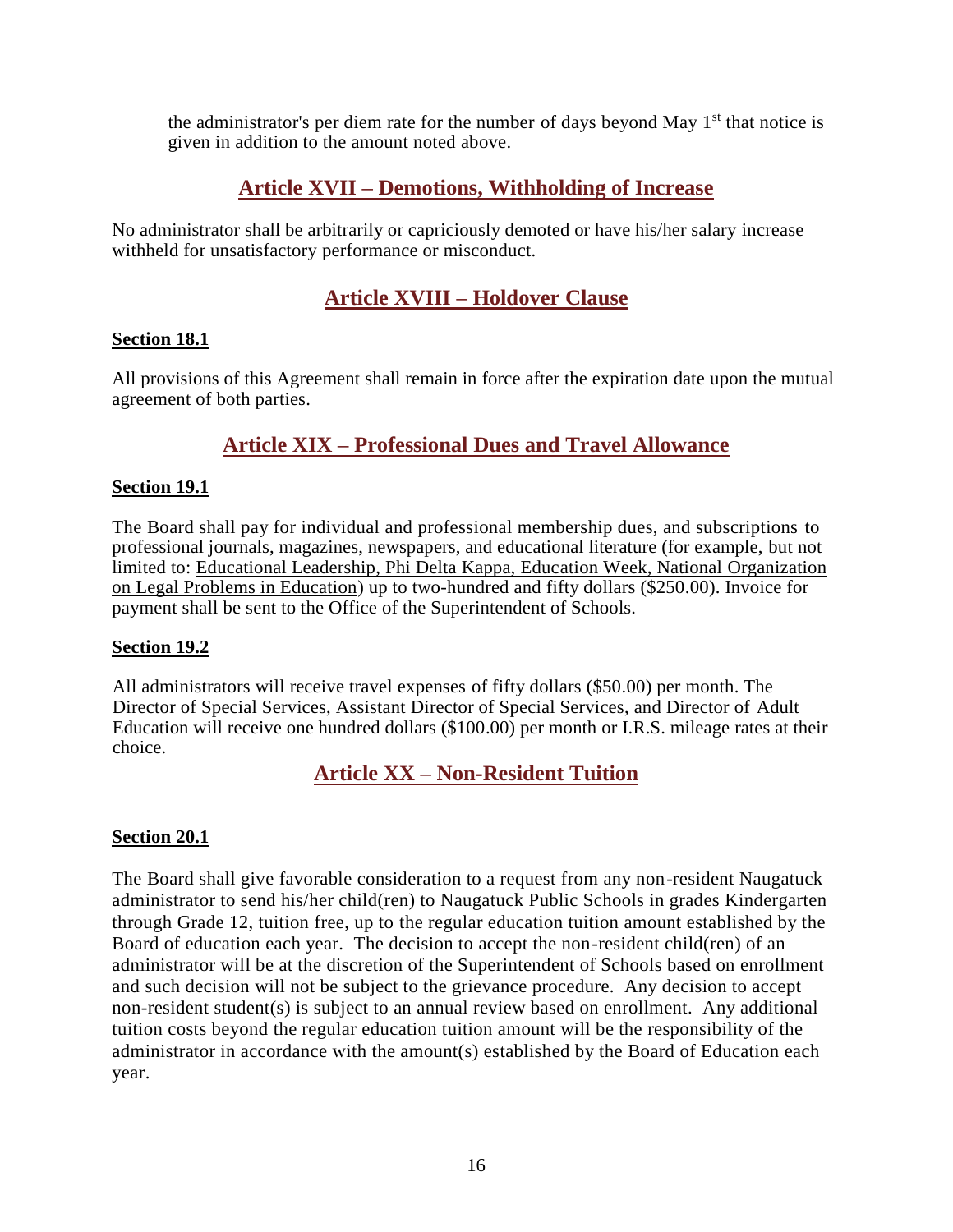the administrator's per diem rate for the number of days beyond May  $1<sup>st</sup>$  that notice is given in addition to the amount noted above.

## **Article XVII – Demotions, Withholding of Increase**

<span id="page-16-0"></span>No administrator shall be arbitrarily or capriciously demoted or have his/her salary increase withheld for unsatisfactory performance or misconduct.

## **Article XVIII – Holdover Clause**

#### <span id="page-16-1"></span>**Section 18.1**

All provisions of this Agreement shall remain in force after the expiration date upon the mutual agreement of both parties.

## **Article XIX – Professional Dues and Travel Allowance**

### <span id="page-16-2"></span>**Section 19.1**

The Board shall pay for individual and professional membership dues, and subscriptions to professional journals, magazines, newspapers, and educational literature (for example, but not limited to: Educational Leadership, Phi Delta Kappa, Education Week, National Organization on Legal Problems in Education) up to two-hundred and fifty dollars (\$250.00). Invoice for payment shall be sent to the Office of the Superintendent of Schools.

#### **Section 19.2**

All administrators will receive travel expenses of fifty dollars (\$50.00) per month. The Director of Special Services, Assistant Director of Special Services, and Director of Adult Education will receive one hundred dollars (\$100.00) per month or I.R.S. mileage rates at their choice.

## **Article XX – Non-Resident Tuition**

#### <span id="page-16-3"></span>**Section 20.1**

The Board shall give favorable consideration to a request from any non-resident Naugatuck administrator to send his/her child(ren) to Naugatuck Public Schools in grades Kindergarten through Grade 12, tuition free, up to the regular education tuition amount established by the Board of education each year. The decision to accept the non-resident child(ren) of an administrator will be at the discretion of the Superintendent of Schools based on enrollment and such decision will not be subject to the grievance procedure. Any decision to accept non-resident student(s) is subject to an annual review based on enrollment. Any additional tuition costs beyond the regular education tuition amount will be the responsibility of the administrator in accordance with the amount(s) established by the Board of Education each year.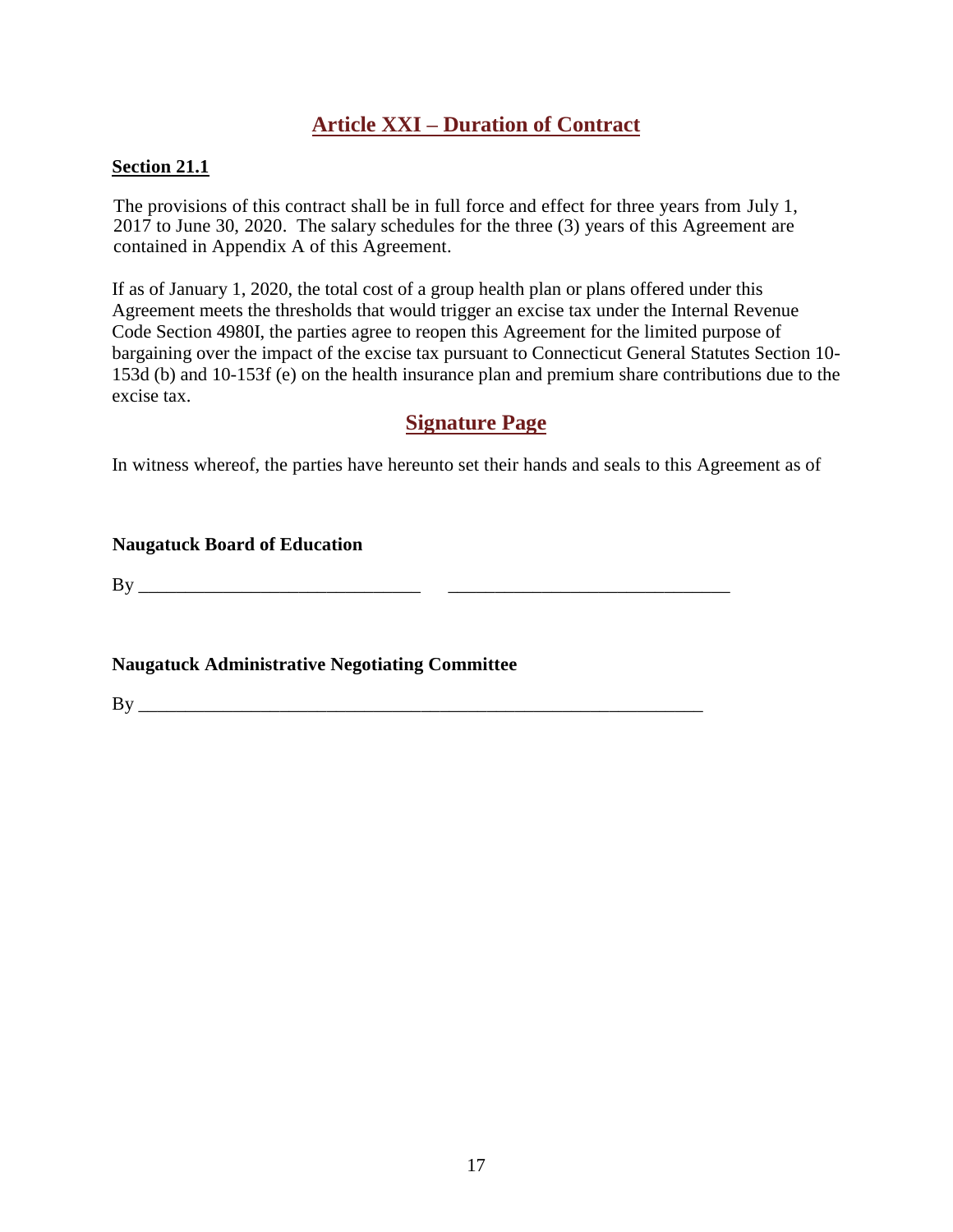## **Article XXI – Duration of Contract**

#### <span id="page-17-0"></span>**Section 21.1**

The provisions of this contract shall be in full force and effect for three years from July 1, 2017 to June 30, 2020. The salary schedules for the three (3) years of this Agreement are contained in Appendix A of this Agreement.

If as of January 1, 2020, the total cost of a group health plan or plans offered under this Agreement meets the thresholds that would trigger an excise tax under the Internal Revenue Code Section 4980I, the parties agree to reopen this Agreement for the limited purpose of bargaining over the impact of the excise tax pursuant to Connecticut General Statutes Section 10- 153d (b) and 10-153f (e) on the health insurance plan and premium share contributions due to the excise tax.

## **Signature Page**

<span id="page-17-1"></span>In witness whereof, the parties have hereunto set their hands and seals to this Agreement as of

#### **Naugatuck Board of Education**

By \_\_\_\_\_\_\_\_\_\_\_\_\_\_\_\_\_\_\_\_\_\_\_\_\_\_\_\_\_\_ \_\_\_\_\_\_\_\_\_\_\_\_\_\_\_\_\_\_\_\_\_\_\_\_\_\_\_\_\_\_

**Naugatuck Administrative Negotiating Committee**

By \_\_\_\_\_\_\_\_\_\_\_\_\_\_\_\_\_\_\_\_\_\_\_\_\_\_\_\_\_\_\_\_\_\_\_\_\_\_\_\_\_\_\_\_\_\_\_\_\_\_\_\_\_\_\_\_\_\_\_\_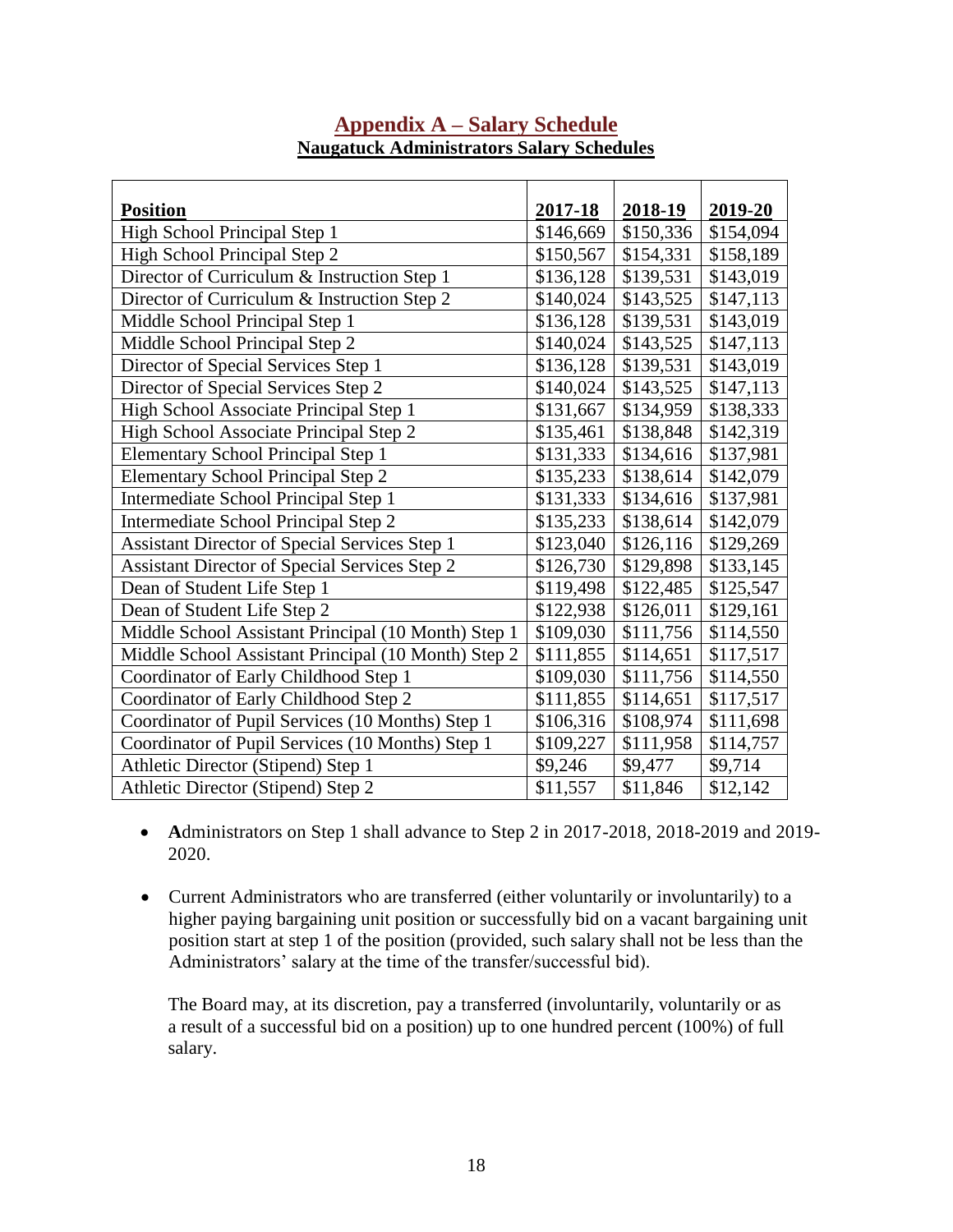<span id="page-18-0"></span>

| <b>Position</b>                                     | 2017-18   | 2018-19   | 2019-20   |
|-----------------------------------------------------|-----------|-----------|-----------|
| High School Principal Step 1                        | \$146,669 | \$150,336 | \$154,094 |
| High School Principal Step 2                        | \$150,567 | \$154,331 | \$158,189 |
| Director of Curriculum & Instruction Step 1         | \$136,128 | \$139,531 | \$143,019 |
| Director of Curriculum & Instruction Step 2         | \$140,024 | \$143,525 | \$147,113 |
| Middle School Principal Step 1                      | \$136,128 | \$139,531 | \$143,019 |
| Middle School Principal Step 2                      | \$140,024 | \$143,525 | \$147,113 |
| Director of Special Services Step 1                 | \$136,128 | \$139,531 | \$143,019 |
| Director of Special Services Step 2                 | \$140,024 | \$143,525 | \$147,113 |
| High School Associate Principal Step 1              | \$131,667 | \$134,959 | \$138,333 |
| High School Associate Principal Step 2              | \$135,461 | \$138,848 | \$142,319 |
| <b>Elementary School Principal Step 1</b>           | \$131,333 | \$134,616 | \$137,981 |
| Elementary School Principal Step 2                  | \$135,233 | \$138,614 | \$142,079 |
| Intermediate School Principal Step 1                | \$131,333 | \$134,616 | \$137,981 |
| Intermediate School Principal Step 2                | \$135,233 | \$138,614 | \$142,079 |
| Assistant Director of Special Services Step 1       | \$123,040 | \$126,116 | \$129,269 |
| Assistant Director of Special Services Step 2       | \$126,730 | \$129,898 | \$133,145 |
| Dean of Student Life Step 1                         | \$119,498 | \$122,485 | \$125,547 |
| Dean of Student Life Step 2                         | \$122,938 | \$126,011 | \$129,161 |
| Middle School Assistant Principal (10 Month) Step 1 | \$109,030 | \$111,756 | \$114,550 |
| Middle School Assistant Principal (10 Month) Step 2 | \$111,855 | \$114,651 | \$117,517 |
| Coordinator of Early Childhood Step 1               | \$109,030 | \$111,756 | \$114,550 |
| Coordinator of Early Childhood Step 2               | \$111,855 | \$114,651 | \$117,517 |
| Coordinator of Pupil Services (10 Months) Step 1    | \$106,316 | \$108,974 | \$111,698 |
| Coordinator of Pupil Services (10 Months) Step 1    | \$109,227 | \$111,958 | \$114,757 |
| Athletic Director (Stipend) Step 1                  | \$9,246   | \$9,477   | \$9,714   |
| Athletic Director (Stipend) Step 2                  | \$11,557  | \$11,846  | \$12,142  |

## **Appendix A – Salary Schedule Naugatuck Administrators Salary Schedules**

- **A**dministrators on Step 1 shall advance to Step 2 in 2017-2018, 2018-2019 and 2019- 2020.
- Current Administrators who are transferred (either voluntarily or involuntarily) to a higher paying bargaining unit position or successfully bid on a vacant bargaining unit position start at step 1 of the position (provided, such salary shall not be less than the Administrators' salary at the time of the transfer/successful bid).

The Board may, at its discretion, pay a transferred (involuntarily, voluntarily or as a result of a successful bid on a position) up to one hundred percent (100%) of full salary.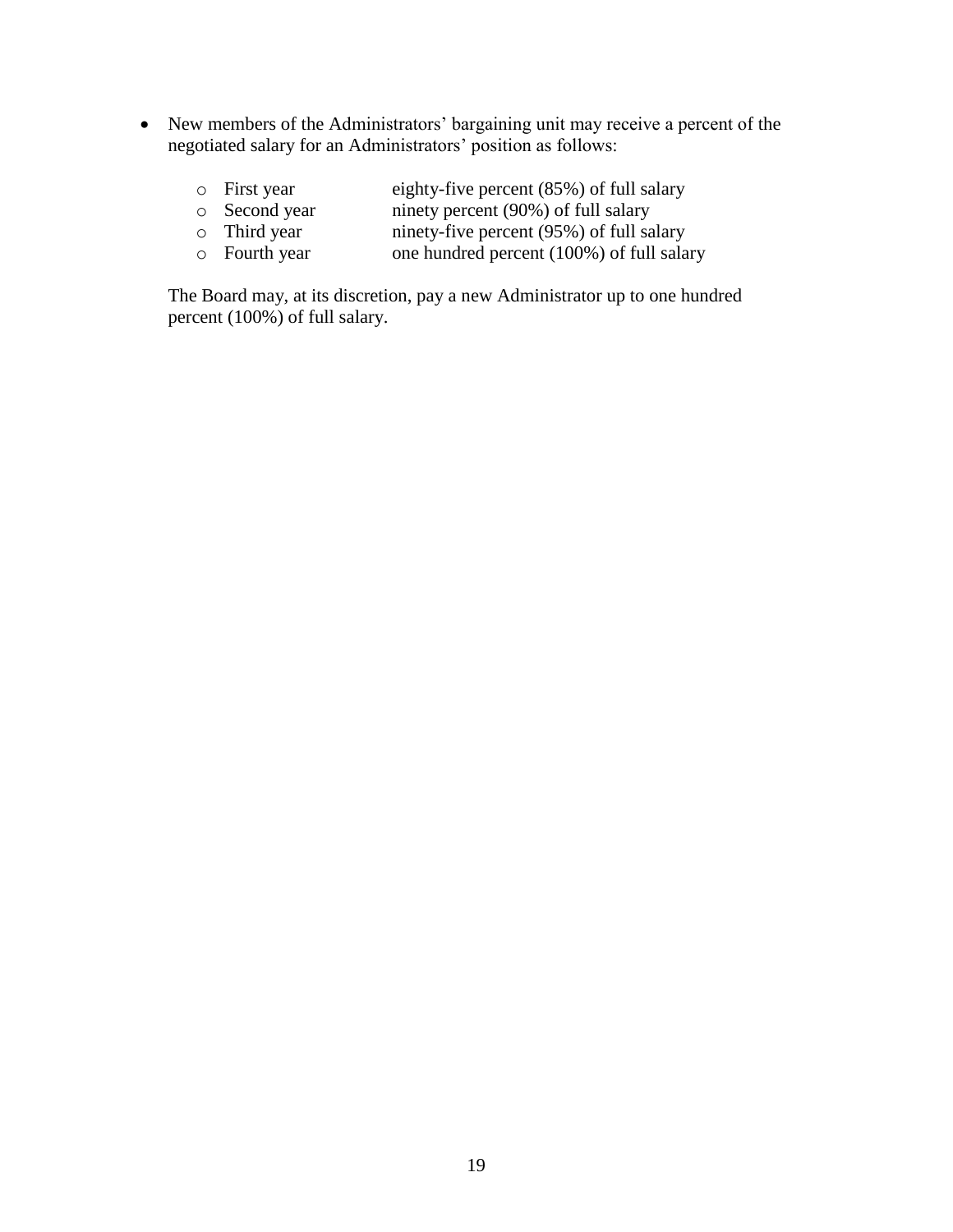- New members of the Administrators' bargaining unit may receive a percent of the negotiated salary for an Administrators' position as follows:
	- o First year eighty-five percent (85%) of full salary<br>
	o Second year innety percent (90%) of full salary o Second year ninety percent (90%) of full salary<br>
	o Third year ninety-five percent (95%) of full salary
	- o Third year ninety-five percent (95%) of full salary<br>o Fourth year one hundred percent (100%) of full sala
	- one hundred percent (100%) of full salary

The Board may, at its discretion, pay a new Administrator up to one hundred percent (100%) of full salary.